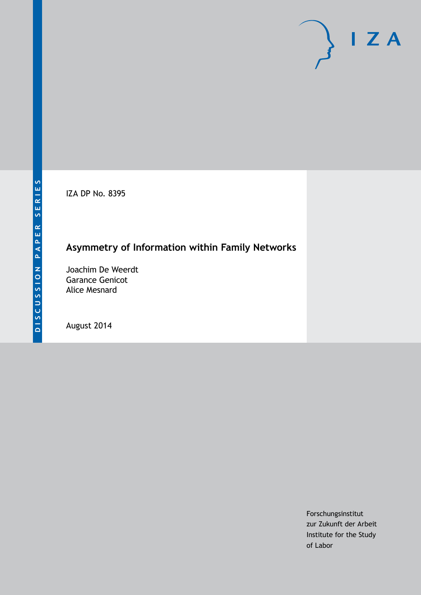IZA DP No. 8395

## **Asymmetry of Information within Family Networks**

Joachim De Weerdt Garance Genicot Alice Mesnard

August 2014

Forschungsinstitut zur Zukunft der Arbeit Institute for the Study of Labor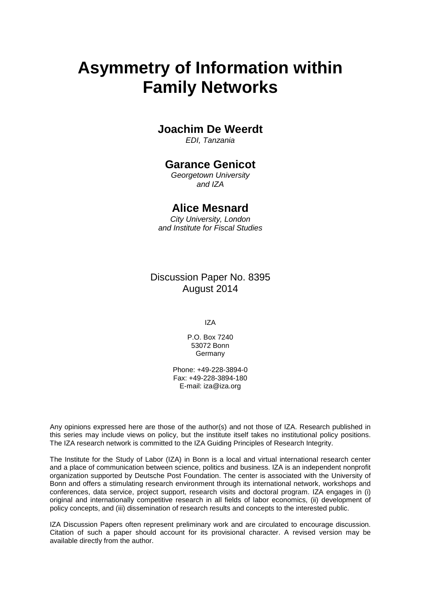# **Asymmetry of Information within Family Networks**

## **Joachim De Weerdt**

*EDI, Tanzania*

## **Garance Genicot**

*Georgetown University and IZA*

## **Alice Mesnard**

*City University, London and Institute for Fiscal Studies*

Discussion Paper No. 8395 August 2014

IZA

P.O. Box 7240 53072 Bonn Germany

Phone: +49-228-3894-0 Fax: +49-228-3894-180 E-mail: [iza@iza.org](mailto:iza@iza.org)

Any opinions expressed here are those of the author(s) and not those of IZA. Research published in this series may include views on policy, but the institute itself takes no institutional policy positions. The IZA research network is committed to the IZA Guiding Principles of Research Integrity.

The Institute for the Study of Labor (IZA) in Bonn is a local and virtual international research center and a place of communication between science, politics and business. IZA is an independent nonprofit organization supported by Deutsche Post Foundation. The center is associated with the University of Bonn and offers a stimulating research environment through its international network, workshops and conferences, data service, project support, research visits and doctoral program. IZA engages in (i) original and internationally competitive research in all fields of labor economics, (ii) development of policy concepts, and (iii) dissemination of research results and concepts to the interested public.

<span id="page-1-0"></span>IZA Discussion Papers often represent preliminary work and are circulated to encourage discussion. Citation of such a paper should account for its provisional character. A revised version may be available directly from the author.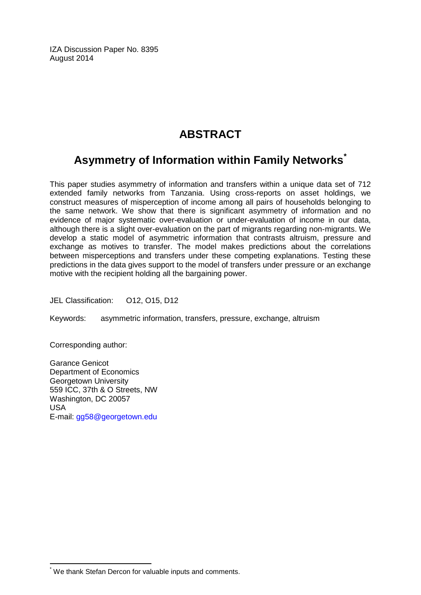IZA Discussion Paper No. 8395 August 2014

## **ABSTRACT**

## **Asymmetry of Information within Family Networks[\\*](#page-1-0)**

This paper studies asymmetry of information and transfers within a unique data set of 712 extended family networks from Tanzania. Using cross-reports on asset holdings, we construct measures of misperception of income among all pairs of households belonging to the same network. We show that there is significant asymmetry of information and no evidence of major systematic over-evaluation or under-evaluation of income in our data, although there is a slight over-evaluation on the part of migrants regarding non-migrants. We develop a static model of asymmetric information that contrasts altruism, pressure and exchange as motives to transfer. The model makes predictions about the correlations between misperceptions and transfers under these competing explanations. Testing these predictions in the data gives support to the model of transfers under pressure or an exchange motive with the recipient holding all the bargaining power.

JEL Classification: O12, O15, D12

Keywords: asymmetric information, transfers, pressure, exchange, altruism

Corresponding author:

Garance Genicot Department of Economics Georgetown University 559 ICC, 37th & O Streets, NW Washington, DC 20057 USA E-mail: [gg58@georgetown.edu](mailto:gg58@georgetown.edu)

\* We thank Stefan Dercon for valuable inputs and comments.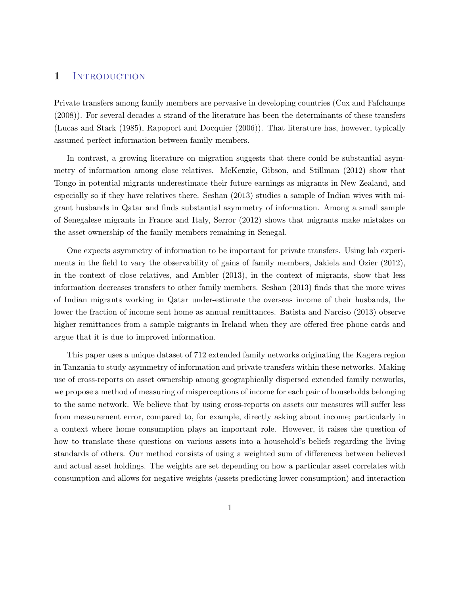### 1 INTRODUCTION

Private transfers among family members are pervasive in developing countries (Cox and Fafchamps (2008)). For several decades a strand of the literature has been the determinants of these transfers (Lucas and Stark (1985), Rapoport and Docquier (2006)). That literature has, however, typically assumed perfect information between family members.

In contrast, a growing literature on migration suggests that there could be substantial asymmetry of information among close relatives. McKenzie, Gibson, and Stillman (2012) show that Tongo in potential migrants underestimate their future earnings as migrants in New Zealand, and especially so if they have relatives there. Seshan (2013) studies a sample of Indian wives with migrant husbands in Qatar and finds substantial asymmetry of information. Among a small sample of Senegalese migrants in France and Italy, Serror (2012) shows that migrants make mistakes on the asset ownership of the family members remaining in Senegal.

One expects asymmetry of information to be important for private transfers. Using lab experiments in the field to vary the observability of gains of family members, Jakiela and Ozier (2012), in the context of close relatives, and Ambler (2013), in the context of migrants, show that less information decreases transfers to other family members. Seshan (2013) finds that the more wives of Indian migrants working in Qatar under-estimate the overseas income of their husbands, the lower the fraction of income sent home as annual remittances. Batista and Narciso (2013) observe higher remittances from a sample migrants in Ireland when they are offered free phone cards and argue that it is due to improved information.

This paper uses a unique dataset of 712 extended family networks originating the Kagera region in Tanzania to study asymmetry of information and private transfers within these networks. Making use of cross-reports on asset ownership among geographically dispersed extended family networks, we propose a method of measuring of misperceptions of income for each pair of households belonging to the same network. We believe that by using cross-reports on assets our measures will suffer less from measurement error, compared to, for example, directly asking about income; particularly in a context where home consumption plays an important role. However, it raises the question of how to translate these questions on various assets into a household's beliefs regarding the living standards of others. Our method consists of using a weighted sum of differences between believed and actual asset holdings. The weights are set depending on how a particular asset correlates with consumption and allows for negative weights (assets predicting lower consumption) and interaction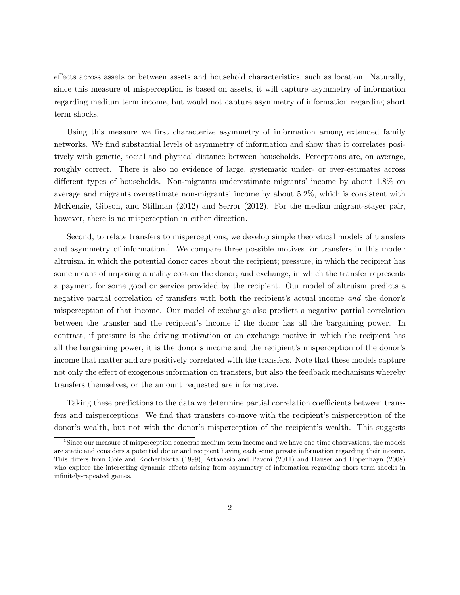effects across assets or between assets and household characteristics, such as location. Naturally, since this measure of misperception is based on assets, it will capture asymmetry of information regarding medium term income, but would not capture asymmetry of information regarding short term shocks.

Using this measure we first characterize asymmetry of information among extended family networks. We find substantial levels of asymmetry of information and show that it correlates positively with genetic, social and physical distance between households. Perceptions are, on average, roughly correct. There is also no evidence of large, systematic under- or over-estimates across different types of households. Non-migrants underestimate migrants' income by about 1.8% on average and migrants overestimate non-migrants' income by about 5.2%, which is consistent with McKenzie, Gibson, and Stillman (2012) and Serror (2012). For the median migrant-stayer pair, however, there is no misperception in either direction.

Second, to relate transfers to misperceptions, we develop simple theoretical models of transfers and asymmetry of information.<sup>1</sup> We compare three possible motives for transfers in this model: altruism, in which the potential donor cares about the recipient; pressure, in which the recipient has some means of imposing a utility cost on the donor; and exchange, in which the transfer represents a payment for some good or service provided by the recipient. Our model of altruism predicts a negative partial correlation of transfers with both the recipient's actual income and the donor's misperception of that income. Our model of exchange also predicts a negative partial correlation between the transfer and the recipient's income if the donor has all the bargaining power. In contrast, if pressure is the driving motivation or an exchange motive in which the recipient has all the bargaining power, it is the donor's income and the recipient's misperception of the donor's income that matter and are positively correlated with the transfers. Note that these models capture not only the effect of exogenous information on transfers, but also the feedback mechanisms whereby transfers themselves, or the amount requested are informative.

Taking these predictions to the data we determine partial correlation coefficients between transfers and misperceptions. We find that transfers co-move with the recipient's misperception of the donor's wealth, but not with the donor's misperception of the recipient's wealth. This suggests

<sup>1</sup>Since our measure of misperception concerns medium term income and we have one-time observations, the models are static and considers a potential donor and recipient having each some private information regarding their income. This differs from Cole and Kocherlakota (1999), Attanasio and Pavoni (2011) and Hauser and Hopenhayn (2008) who explore the interesting dynamic effects arising from asymmetry of information regarding short term shocks in infinitely-repeated games.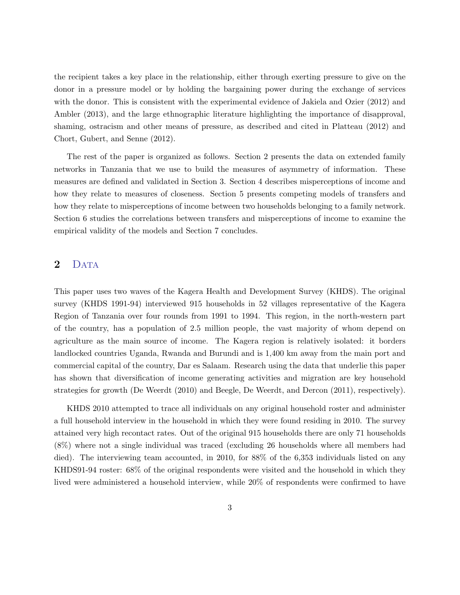the recipient takes a key place in the relationship, either through exerting pressure to give on the donor in a pressure model or by holding the bargaining power during the exchange of services with the donor. This is consistent with the experimental evidence of Jakiela and Ozier (2012) and Ambler (2013), and the large ethnographic literature highlighting the importance of disapproval, shaming, ostracism and other means of pressure, as described and cited in Platteau (2012) and Chort, Gubert, and Senne (2012).

The rest of the paper is organized as follows. Section 2 presents the data on extended family networks in Tanzania that we use to build the measures of asymmetry of information. These measures are defined and validated in Section 3. Section 4 describes misperceptions of income and how they relate to measures of closeness. Section 5 presents competing models of transfers and how they relate to misperceptions of income between two households belonging to a family network. Section 6 studies the correlations between transfers and misperceptions of income to examine the empirical validity of the models and Section 7 concludes.

### 2 DATA

This paper uses two waves of the Kagera Health and Development Survey (KHDS). The original survey (KHDS 1991-94) interviewed 915 households in 52 villages representative of the Kagera Region of Tanzania over four rounds from 1991 to 1994. This region, in the north-western part of the country, has a population of 2.5 million people, the vast majority of whom depend on agriculture as the main source of income. The Kagera region is relatively isolated: it borders landlocked countries Uganda, Rwanda and Burundi and is 1,400 km away from the main port and commercial capital of the country, Dar es Salaam. Research using the data that underlie this paper has shown that diversification of income generating activities and migration are key household strategies for growth (De Weerdt (2010) and Beegle, De Weerdt, and Dercon (2011), respectively).

KHDS 2010 attempted to trace all individuals on any original household roster and administer a full household interview in the household in which they were found residing in 2010. The survey attained very high recontact rates. Out of the original 915 households there are only 71 households (8%) where not a single individual was traced (excluding 26 households where all members had died). The interviewing team accounted, in 2010, for 88% of the 6,353 individuals listed on any KHDS91-94 roster: 68% of the original respondents were visited and the household in which they lived were administered a household interview, while 20% of respondents were confirmed to have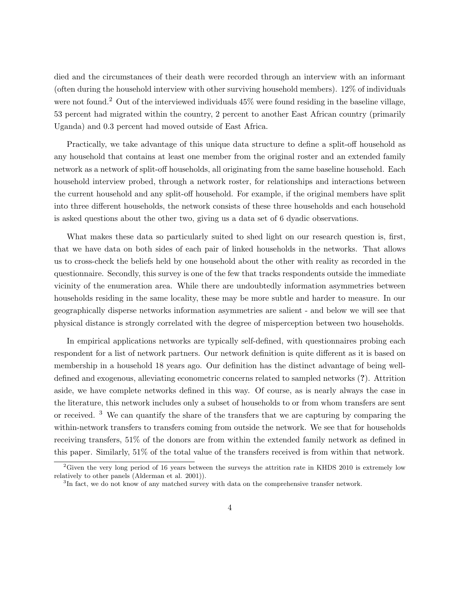died and the circumstances of their death were recorded through an interview with an informant (often during the household interview with other surviving household members). 12% of individuals were not found.<sup>2</sup> Out of the interviewed individuals  $45\%$  were found residing in the baseline village, 53 percent had migrated within the country, 2 percent to another East African country (primarily Uganda) and 0.3 percent had moved outside of East Africa.

Practically, we take advantage of this unique data structure to define a split-off household as any household that contains at least one member from the original roster and an extended family network as a network of split-off households, all originating from the same baseline household. Each household interview probed, through a network roster, for relationships and interactions between the current household and any split-off household. For example, if the original members have split into three different households, the network consists of these three households and each household is asked questions about the other two, giving us a data set of 6 dyadic observations.

What makes these data so particularly suited to shed light on our research question is, first, that we have data on both sides of each pair of linked households in the networks. That allows us to cross-check the beliefs held by one household about the other with reality as recorded in the questionnaire. Secondly, this survey is one of the few that tracks respondents outside the immediate vicinity of the enumeration area. While there are undoubtedly information asymmetries between households residing in the same locality, these may be more subtle and harder to measure. In our geographically disperse networks information asymmetries are salient - and below we will see that physical distance is strongly correlated with the degree of misperception between two households.

In empirical applications networks are typically self-defined, with questionnaires probing each respondent for a list of network partners. Our network definition is quite different as it is based on membership in a household 18 years ago. Our definition has the distinct advantage of being welldefined and exogenous, alleviating econometric concerns related to sampled networks (?). Attrition aside, we have complete networks defined in this way. Of course, as is nearly always the case in the literature, this network includes only a subset of households to or from whom transfers are sent or received. <sup>3</sup> We can quantify the share of the transfers that we are capturing by comparing the within-network transfers to transfers coming from outside the network. We see that for households receiving transfers, 51% of the donors are from within the extended family network as defined in this paper. Similarly, 51% of the total value of the transfers received is from within that network.

 $2$ Given the very long period of 16 years between the surveys the attrition rate in KHDS 2010 is extremely low relatively to other panels (Alderman et al. 2001)).

<sup>&</sup>lt;sup>3</sup>In fact, we do not know of any matched survey with data on the comprehensive transfer network.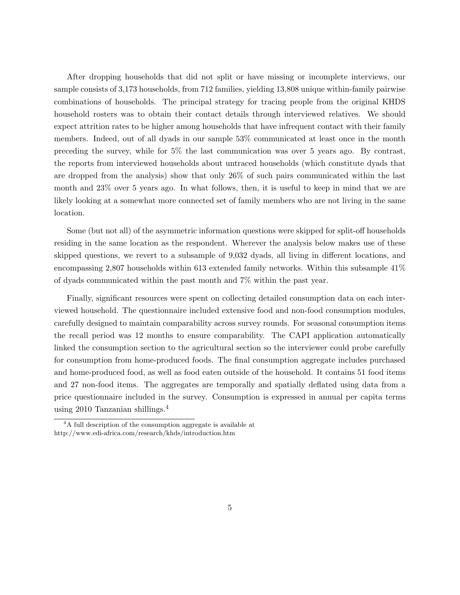After dropping households that did not split or have missing or incomplete interviews, our sample consists of 3,173 households, from 712 families, yielding 13,808 unique within-family pairwise combinations of households. The principal strategy for tracing people from the original KHDS household rosters was to obtain their contact details through interviewed relatives. We should expect attrition rates to be higher among households that have infrequent contact with their family members. Indeed, out of all dyads in our sample 53% communicated at least once in the month preceding the survey, while for 5% the last communication was over 5 years ago. By contrast, the reports from interviewed households about untraced households (which constitute dyads that are dropped from the analysis) show that only 26% of such pairs communicated within the last month and 23% over 5 years ago. In what follows, then, it is useful to keep in mind that we are likely looking at a somewhat more connected set of family members who are not living in the same location.

Some (but not all) of the asymmetric information questions were skipped for split-off households residing in the same location as the respondent. Wherever the analysis below makes use of these skipped questions, we revert to a subsample of 9,032 dyads, all living in different locations, and encompassing 2,807 households within 613 extended family networks. Within this subsample 41% of dyads communicated within the past month and 7% within the past year.

Finally, significant resources were spent on collecting detailed consumption data on each interviewed household. The questionnaire included extensive food and non-food consumption modules, carefully designed to maintain comparability across survey rounds. For seasonal consumption items the recall period was 12 months to ensure comparability. The CAPI application automatically linked the consumption section to the agricultural section so the interviewer could probe carefully for consumption from home-produced foods. The final consumption aggregate includes purchased and home-produced food, as well as food eaten outside of the household. It contains 51 food items and 27 non-food items. The aggregates are temporally and spatially deflated using data from a price questionnaire included in the survey. Consumption is expressed in annual per capita terms using 2010 Tanzanian shillings.<sup>4</sup>

<sup>&</sup>lt;sup>4</sup>A full description of the consumption aggregate is available at http://www.edi-africa.com/research/khds/introduction.htm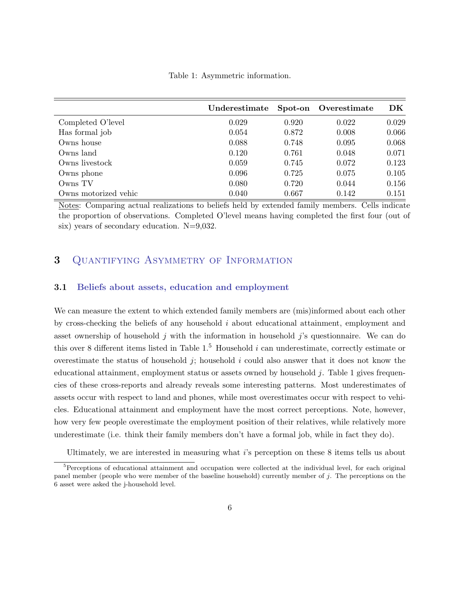Table 1: Asymmetric information.

|                      | Underestimate | Spot-on | Overestimate | DK    |
|----------------------|---------------|---------|--------------|-------|
| Completed O'level    | 0.029         | 0.920   | 0.022        | 0.029 |
| Has formal job       | 0.054         | 0.872   | 0.008        | 0.066 |
| Owns house           | 0.088         | 0.748   | 0.095        | 0.068 |
| Owns land            | 0.120         | 0.761   | 0.048        | 0.071 |
| Owns livestock       | 0.059         | 0.745   | 0.072        | 0.123 |
| Owns phone           | 0.096         | 0.725   | 0.075        | 0.105 |
| Owns TV              | 0.080         | 0.720   | 0.044        | 0.156 |
| Owns motorized vehic | 0.040         | 0.667   | 0.142        | 0.151 |

Notes: Comparing actual realizations to beliefs held by extended family members. Cells indicate the proportion of observations. Completed O'level means having completed the first four (out of six) years of secondary education. N=9,032.

## 3 QUANTIFYING ASYMMETRY OF INFORMATION

#### 3.1 Beliefs about assets, education and employment

We can measure the extent to which extended family members are (mis)informed about each other by cross-checking the beliefs of any household  $i$  about educational attainment, employment and asset ownership of household j with the information in household j's questionnaire. We can do this over 8 different items listed in Table  $1<sup>5</sup>$  Household i can underestimate, correctly estimate or overestimate the status of household  $j$ ; household  $i$  could also answer that it does not know the educational attainment, employment status or assets owned by household  $j$ . Table 1 gives frequencies of these cross-reports and already reveals some interesting patterns. Most underestimates of assets occur with respect to land and phones, while most overestimates occur with respect to vehicles. Educational attainment and employment have the most correct perceptions. Note, however, how very few people overestimate the employment position of their relatives, while relatively more underestimate (i.e. think their family members don't have a formal job, while in fact they do).

Ultimately, we are interested in measuring what i's perception on these 8 items tells us about

<sup>&</sup>lt;sup>5</sup>Perceptions of educational attainment and occupation were collected at the individual level, for each original panel member (people who were member of the baseline household) currently member of  $j$ . The perceptions on the 6 asset were asked the j-household level.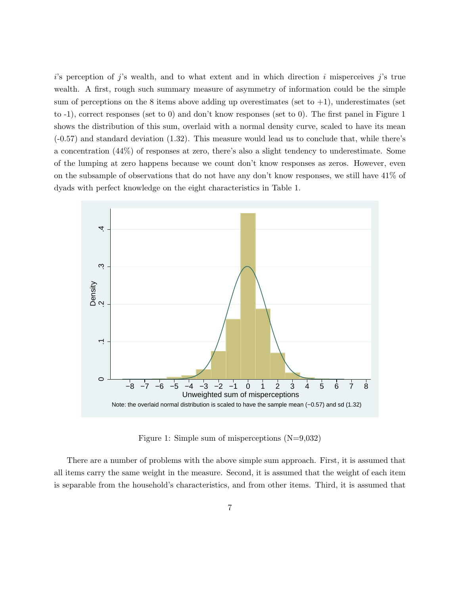$i$ 's perception of j's wealth, and to what extent and in which direction i misperceives j's true wealth. A first, rough such summary measure of asymmetry of information could be the simple sum of perceptions on the 8 items above adding up overestimates (set to  $+1$ ), underestimates (set to -1), correct responses (set to 0) and don't know responses (set to 0). The first panel in Figure 1 shows the distribution of this sum, overlaid with a normal density curve, scaled to have its mean (-0.57) and standard deviation (1.32). This measure would lead us to conclude that, while there's a concentration (44%) of responses at zero, there's also a slight tendency to underestimate. Some of the lumping at zero happens because we count don't know responses as zeros. However, even on the subsample of observations that do not have any don't know responses, we still have 41% of dyads with perfect knowledge on the eight characteristics in Table 1.



Figure 1: Simple sum of misperceptions (N=9,032)

There are a number of problems with the above simple sum approach. First, it is assumed that all items carry the same weight in the measure. Second, it is assumed that the weight of each item is separable from the household's characteristics, and from other items. Third, it is assumed that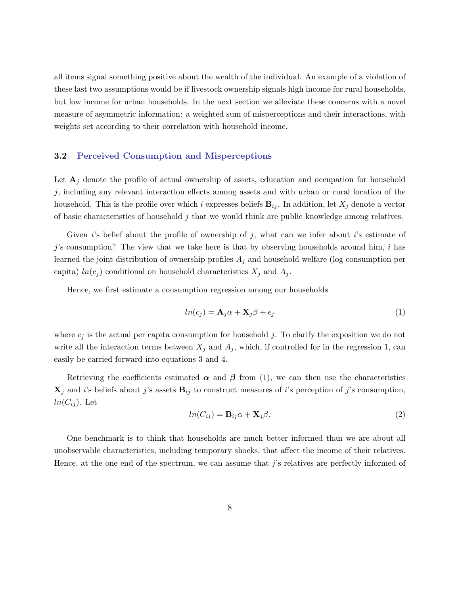all items signal something positive about the wealth of the individual. An example of a violation of these last two assumptions would be if livestock ownership signals high income for rural households, but low income for urban households. In the next section we alleviate these concerns with a novel measure of asymmetric information: a weighted sum of misperceptions and their interactions, with weights set according to their correlation with household income.

#### 3.2 Perceived Consumption and Misperceptions

Let  $A_j$  denote the profile of actual ownership of assets, education and occupation for household  $j$ , including any relevant interaction effects among assets and with urban or rural location of the household. This is the profile over which i expresses beliefs  $B_{ij}$ . In addition, let  $X_j$  denote a vector of basic characteristics of household  $j$  that we would think are public knowledge among relatives.

Given is belief about the profile of ownership of j, what can we infer about is estimate of j's consumption? The view that we take here is that by observing households around him, i has learned the joint distribution of ownership profiles  $A_j$  and household welfare (log consumption per capita)  $ln(c_j)$  conditional on household characteristics  $X_j$  and  $A_j$ .

Hence, we first estimate a consumption regression among our households

$$
ln(c_j) = \mathbf{A}_j \alpha + \mathbf{X}_j \beta + \epsilon_j \tag{1}
$$

where  $c_j$  is the actual per capita consumption for household j. To clarify the exposition we do not write all the interaction terms between  $X_j$  and  $A_j$ , which, if controlled for in the regression 1, can easily be carried forward into equations 3 and 4.

Retrieving the coefficients estimated  $\alpha$  and  $\beta$  from (1), we can then use the characteristics  $\mathbf{X}_j$  and i's beliefs about j's assets  $\mathbf{B}_{ij}$  to construct measures of i's perception of j's consumption,  $ln(C_{ij})$ . Let

$$
ln(C_{ij}) = \mathbf{B}_{ij}\alpha + \mathbf{X}_j\beta.
$$
 (2)

One benchmark is to think that households are much better informed than we are about all unobservable characteristics, including temporary shocks, that affect the income of their relatives. Hence, at the one end of the spectrum, we can assume that j's relatives are perfectly informed of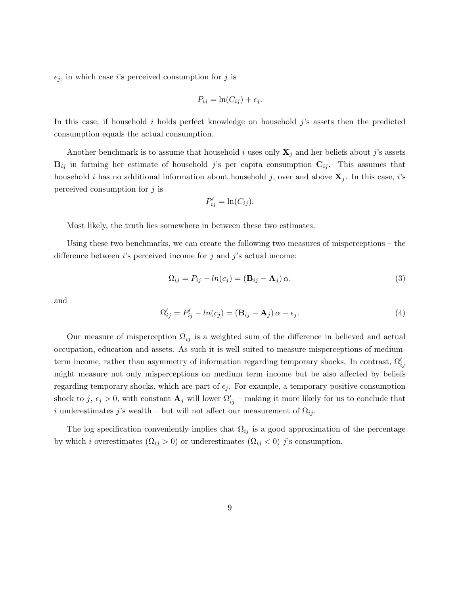$\epsilon_j$ , in which case *i*'s perceived consumption for *j* is

$$
P_{ij} = \ln(C_{ij}) + \epsilon_j.
$$

In this case, if household  $i$  holds perfect knowledge on household  $j$ 's assets then the predicted consumption equals the actual consumption.

Another benchmark is to assume that household i uses only  $X_j$  and her beliefs about j's assets  $B_{ij}$  in forming her estimate of household j's per capita consumption  $C_{ij}$ . This assumes that household i has no additional information about household j, over and above  $\mathbf{X}_j$ . In this case, i's perceived consumption for  $j$  is

$$
P'_{ij} = \ln(C_{ij}).
$$

Most likely, the truth lies somewhere in between these two estimates.

Using these two benchmarks, we can create the following two measures of misperceptions – the difference between  $i$ 's perceived income for  $j$  and  $j$ 's actual income:

$$
\Omega_{ij} = P_{ij} - ln(c_j) = (\mathbf{B}_{ij} - \mathbf{A}_j) \alpha.
$$
\n(3)

and

$$
\Omega'_{ij} = P'_{ij} - ln(c_j) = (\mathbf{B}_{ij} - \mathbf{A}_j) \alpha - \epsilon_j.
$$
\n(4)

Our measure of misperception  $\Omega_{ij}$  is a weighted sum of the difference in believed and actual occupation, education and assets. As such it is well suited to measure misperceptions of mediumterm income, rather than asymmetry of information regarding temporary shocks. In contrast,  $\Omega'_{ij}$ might measure not only misperceptions on medium term income but be also affected by beliefs regarding temporary shocks, which are part of  $\epsilon_i$ . For example, a temporary positive consumption shock to j,  $\epsilon_j > 0$ , with constant  $\mathbf{A}_j$  will lower  $\Omega'_{ij}$  – making it more likely for us to conclude that i underestimates j's wealth – but will not affect our measurement of  $\Omega_{ij}$ .

The log specification conveniently implies that  $\Omega_{ij}$  is a good approximation of the percentage by which i overestimates  $(\Omega_{ij} > 0)$  or underestimates  $(\Omega_{ij} < 0)$  j's consumption.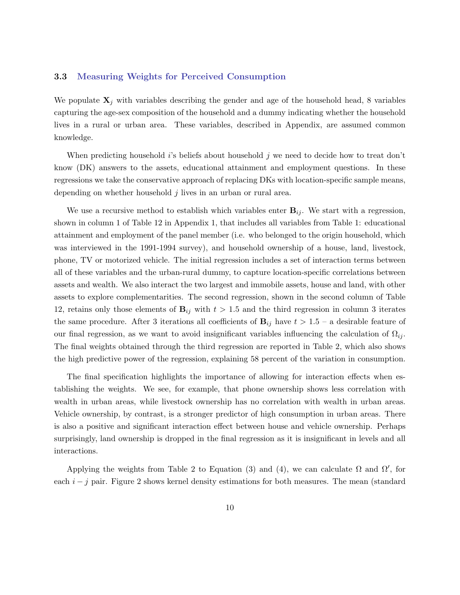#### 3.3 Measuring Weights for Perceived Consumption

We populate  $X_j$  with variables describing the gender and age of the household head, 8 variables capturing the age-sex composition of the household and a dummy indicating whether the household lives in a rural or urban area. These variables, described in Appendix, are assumed common knowledge.

When predicting household is beliefs about household j we need to decide how to treat don't know (DK) answers to the assets, educational attainment and employment questions. In these regressions we take the conservative approach of replacing DKs with location-specific sample means, depending on whether household j lives in an urban or rural area.

We use a recursive method to establish which variables enter  $B_{ij}$ . We start with a regression, shown in column 1 of Table 12 in Appendix 1, that includes all variables from Table 1: educational attainment and employment of the panel member (i.e. who belonged to the origin household, which was interviewed in the 1991-1994 survey), and household ownership of a house, land, livestock, phone, TV or motorized vehicle. The initial regression includes a set of interaction terms between all of these variables and the urban-rural dummy, to capture location-specific correlations between assets and wealth. We also interact the two largest and immobile assets, house and land, with other assets to explore complementarities. The second regression, shown in the second column of Table 12, retains only those elements of  $B_{ij}$  with  $t > 1.5$  and the third regression in column 3 iterates the same procedure. After 3 iterations all coefficients of  $B_{ij}$  have  $t > 1.5 - a$  desirable feature of our final regression, as we want to avoid insignificant variables influencing the calculation of  $\Omega_{ij}$ . The final weights obtained through the third regression are reported in Table 2, which also shows the high predictive power of the regression, explaining 58 percent of the variation in consumption.

The final specification highlights the importance of allowing for interaction effects when establishing the weights. We see, for example, that phone ownership shows less correlation with wealth in urban areas, while livestock ownership has no correlation with wealth in urban areas. Vehicle ownership, by contrast, is a stronger predictor of high consumption in urban areas. There is also a positive and significant interaction effect between house and vehicle ownership. Perhaps surprisingly, land ownership is dropped in the final regression as it is insignificant in levels and all interactions.

Applying the weights from Table 2 to Equation (3) and (4), we can calculate  $\Omega$  and  $\Omega'$ , for each  $i - j$  pair. Figure 2 shows kernel density estimations for both measures. The mean (standard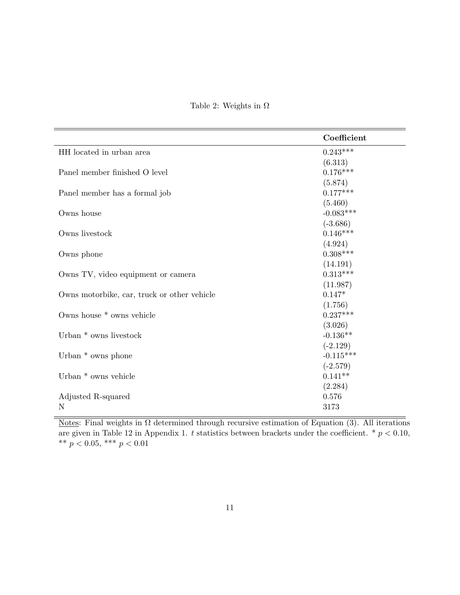| Coefficient |
|-------------|
| $0.243***$  |
| (6.313)     |
| $0.176***$  |
| (5.874)     |
| $0.177***$  |
| (5.460)     |
| $-0.083***$ |
| $(-3.686)$  |
| $0.146***$  |
| (4.924)     |
| $0.308***$  |
| (14.191)    |
| $0.313***$  |
| (11.987)    |
| $0.147*$    |
| (1.756)     |
| $0.237***$  |
| (3.026)     |
| $-0.136**$  |
| $(-2.129)$  |
| $-0.115***$ |
| $(-2.579)$  |
| $0.141**$   |
| (2.284)     |
| 0.576       |
| 3173        |
|             |

Table 2: Weights in  $\Omega$ 

Notes: Final weights in  $\Omega$  determined through recursive estimation of Equation (3). All iterations are given in Table 12 in Appendix 1. t statistics between brackets under the coefficient. \*  $p < 0.10$ , \*\*  $p < 0.05$ , \*\*\*  $p < 0.01$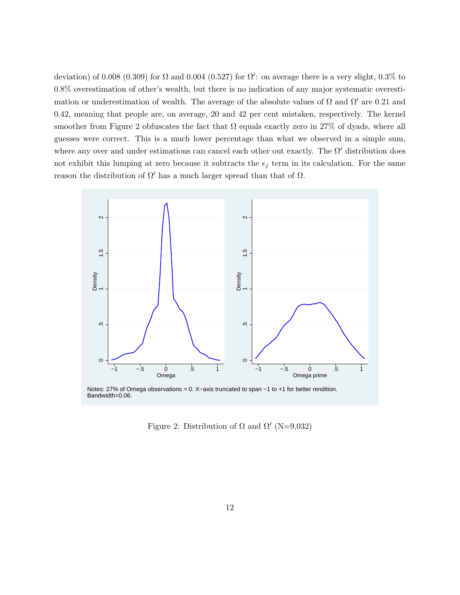deviation) of 0.008 (0.309) for  $\Omega$  and 0.004 (0.527) for  $\Omega'$ : on average there is a very slight, 0.3% to 0.8% overestimation of other's wealth, but there is no indication of any major systematic overestimation or underestimation of wealth. The average of the absolute values of  $\Omega$  and  $\Omega'$  are 0.21 and 0.42, meaning that people are, on average, 20 and 42 per cent mistaken, respectively. The kernel smoother from Figure 2 obfuscates the fact that  $\Omega$  equals exactly zero in 27% of dyads, where all guesses were correct. This is a much lower percentage than what we observed in a simple sum, where any over and under estimations can cancel each other out exactly. The  $\Omega'$  distribution does not exhibit this lumping at zero because it subtracts the  $\epsilon_j$  term in its calculation. For the same reason the distribution of  $\Omega'$  has a much larger spread than that of  $\Omega$ .



Notes: 27% of Omega observations = 0. X−axis truncated to span −1 to +1 for better rendition. Bandwidth=0.06.

Figure 2: Distribution of  $\Omega$  and  $\Omega'$  (N=9,032)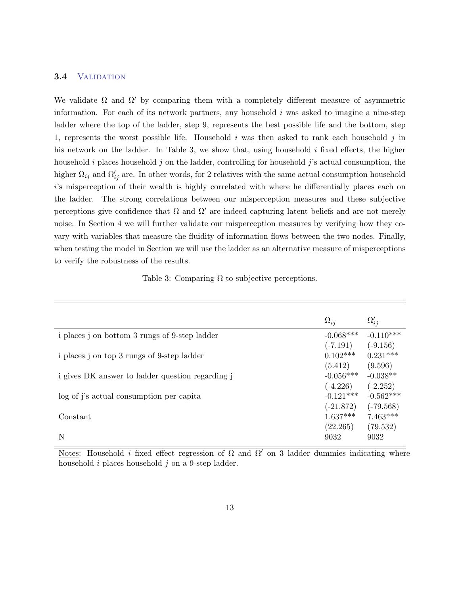#### 3.4 VALIDATION

We validate  $\Omega$  and  $\Omega'$  by comparing them with a completely different measure of asymmetric information. For each of its network partners, any household  $i$  was asked to imagine a nine-step ladder where the top of the ladder, step 9, represents the best possible life and the bottom, step 1, represents the worst possible life. Household  $i$  was then asked to rank each household  $j$  in his network on the ladder. In Table 3, we show that, using household  $i$  fixed effects, the higher household i places household j on the ladder, controlling for household j's actual consumption, the higher  $\Omega_{ij}$  and  $\Omega'_{ij}$  are. In other words, for 2 relatives with the same actual consumption household i's misperception of their wealth is highly correlated with where he differentially places each on the ladder. The strong correlations between our misperception measures and these subjective perceptions give confidence that  $\Omega$  and  $\Omega'$  are indeed capturing latent beliefs and are not merely noise. In Section 4 we will further validate our misperception measures by verifying how they covary with variables that measure the fluidity of information flows between the two nodes. Finally, when testing the model in Section we will use the ladder as an alternative measure of misperceptions to verify the robustness of the results.

| Table 3: Comparing $\Omega$ to subjective perceptions. |
|--------------------------------------------------------|
|--------------------------------------------------------|

|                                                  | $\Omega_{ij}$ | $\Omega'_{ij}$ |
|--------------------------------------------------|---------------|----------------|
| i places j on bottom 3 rungs of 9-step ladder    | $-0.068***$   | $-0.110***$    |
|                                                  | $(-7.191)$    | $(-9.156)$     |
| i places j on top 3 rungs of 9-step ladder       | $0.102***$    | $0.231***$     |
|                                                  | (5.412)       | (9.596)        |
| i gives DK answer to ladder question regarding j | $-0.056***$   | $-0.038**$     |
|                                                  | $(-4.226)$    | $(-2.252)$     |
| log of j's actual consumption per capita         | $-0.121***$   | $-0.562***$    |
|                                                  | $(-21.872)$   | $(-79.568)$    |
| Constant                                         | $1.637***$    | $7.463***$     |
|                                                  | (22.265)      | (79.532)       |
| N                                                | 9032          | 9032           |

Notes: Household *i* fixed effect regression of  $\Omega$  and  $\Omega'$  on 3 ladder dummies indicating where household  $i$  places household  $j$  on a 9-step ladder.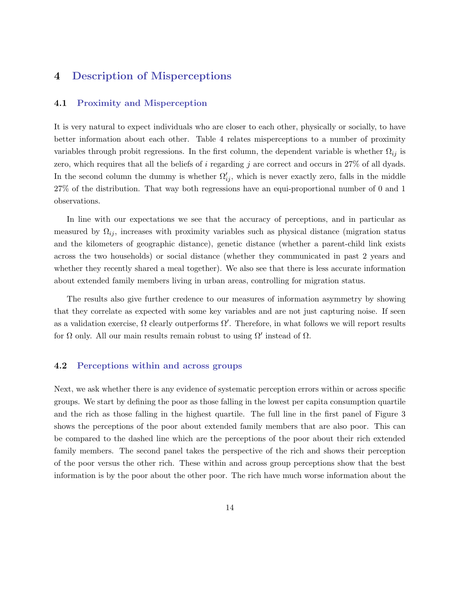### 4 Description of Misperceptions

#### 4.1 Proximity and Misperception

It is very natural to expect individuals who are closer to each other, physically or socially, to have better information about each other. Table 4 relates misperceptions to a number of proximity variables through probit regressions. In the first column, the dependent variable is whether  $\Omega_{ij}$  is zero, which requires that all the beliefs of i regarding j are correct and occurs in 27% of all dyads. In the second column the dummy is whether  $\Omega'_{ij}$ , which is never exactly zero, falls in the middle 27% of the distribution. That way both regressions have an equi-proportional number of 0 and 1 observations.

In line with our expectations we see that the accuracy of perceptions, and in particular as measured by  $\Omega_{ij}$ , increases with proximity variables such as physical distance (migration status and the kilometers of geographic distance), genetic distance (whether a parent-child link exists across the two households) or social distance (whether they communicated in past 2 years and whether they recently shared a meal together). We also see that there is less accurate information about extended family members living in urban areas, controlling for migration status.

The results also give further credence to our measures of information asymmetry by showing that they correlate as expected with some key variables and are not just capturing noise. If seen as a validation exercise,  $\Omega$  clearly outperforms  $\Omega'$ . Therefore, in what follows we will report results for  $\Omega$  only. All our main results remain robust to using  $\Omega'$  instead of  $\Omega$ .

#### 4.2 Perceptions within and across groups

Next, we ask whether there is any evidence of systematic perception errors within or across specific groups. We start by defining the poor as those falling in the lowest per capita consumption quartile and the rich as those falling in the highest quartile. The full line in the first panel of Figure 3 shows the perceptions of the poor about extended family members that are also poor. This can be compared to the dashed line which are the perceptions of the poor about their rich extended family members. The second panel takes the perspective of the rich and shows their perception of the poor versus the other rich. These within and across group perceptions show that the best information is by the poor about the other poor. The rich have much worse information about the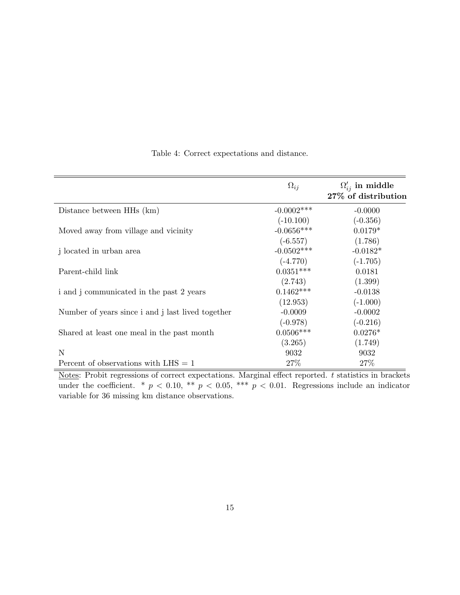|                                                   | $\Omega_{ij}$ | $\Omega'_{ij}$ in middle<br>27% of distribution |
|---------------------------------------------------|---------------|-------------------------------------------------|
| Distance between HHs (km)                         | $-0.0002$ *** | $-0.0000$                                       |
|                                                   | $(-10.100)$   | $(-0.356)$                                      |
| Moved away from village and vicinity              | $-0.0656***$  | $0.0179*$                                       |
|                                                   | $(-6.557)$    | (1.786)                                         |
| j located in urban area                           | $-0.0502***$  | $-0.0182*$                                      |
|                                                   | $(-4.770)$    | $(-1.705)$                                      |
| Parent-child link                                 | $0.0351***$   | 0.0181                                          |
|                                                   | (2.743)       | (1.399)                                         |
| i and j communicated in the past 2 years          | $0.1462***$   | $-0.0138$                                       |
|                                                   | (12.953)      | $(-1.000)$                                      |
| Number of years since i and j last lived together | $-0.0009$     | $-0.0002$                                       |
|                                                   | $(-0.978)$    | $(-0.216)$                                      |
| Shared at least one meal in the past month        | $0.0506***$   | $0.0276*$                                       |
|                                                   | (3.265)       | (1.749)                                         |
| N                                                 | 9032          | 9032                                            |
| Percent of observations with $LHS = 1$            | 27%           | 27\%                                            |

Table 4: Correct expectations and distance.

Notes: Probit regressions of correct expectations. Marginal effect reported. t statistics in brackets under the coefficient. \*  $p < 0.10$ , \*\*  $p < 0.05$ , \*\*\*  $p < 0.01$ . Regressions include an indicator variable for 36 missing km distance observations.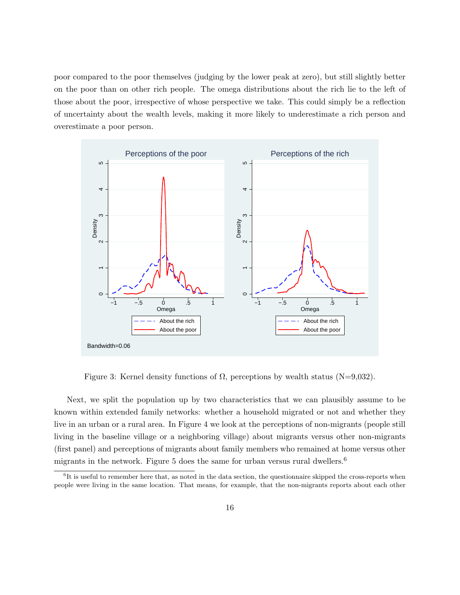poor compared to the poor themselves (judging by the lower peak at zero), but still slightly better on the poor than on other rich people. The omega distributions about the rich lie to the left of those about the poor, irrespective of whose perspective we take. This could simply be a reflection of uncertainty about the wealth levels, making it more likely to underestimate a rich person and overestimate a poor person.



Figure 3: Kernel density functions of  $\Omega$ , perceptions by wealth status (N=9,032).

Next, we split the population up by two characteristics that we can plausibly assume to be known within extended family networks: whether a household migrated or not and whether they live in an urban or a rural area. In Figure 4 we look at the perceptions of non-migrants (people still living in the baseline village or a neighboring village) about migrants versus other non-migrants (first panel) and perceptions of migrants about family members who remained at home versus other migrants in the network. Figure 5 does the same for urban versus rural dwellers.<sup>6</sup>

<sup>&</sup>lt;sup>6</sup>It is useful to remember here that, as noted in the data section, the questionnaire skipped the cross-reports when people were living in the same location. That means, for example, that the non-migrants reports about each other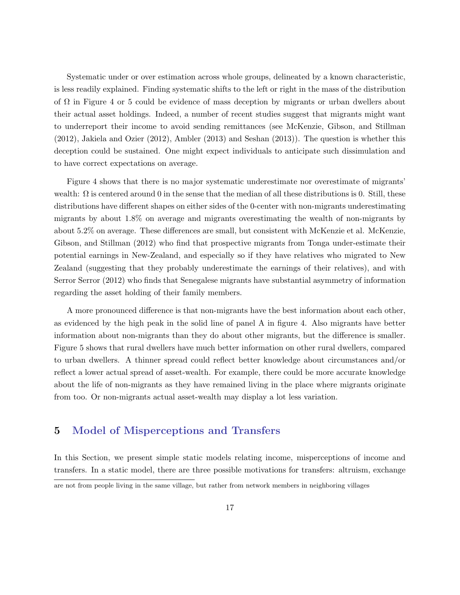Systematic under or over estimation across whole groups, delineated by a known characteristic, is less readily explained. Finding systematic shifts to the left or right in the mass of the distribution of  $\Omega$  in Figure 4 or 5 could be evidence of mass deception by migrants or urban dwellers about their actual asset holdings. Indeed, a number of recent studies suggest that migrants might want to underreport their income to avoid sending remittances (see McKenzie, Gibson, and Stillman (2012), Jakiela and Ozier (2012), Ambler (2013) and Seshan (2013)). The question is whether this deception could be sustained. One might expect individuals to anticipate such dissimulation and to have correct expectations on average.

Figure 4 shows that there is no major systematic underestimate nor overestimate of migrants' wealth:  $\Omega$  is centered around 0 in the sense that the median of all these distributions is 0. Still, these distributions have different shapes on either sides of the 0-center with non-migrants underestimating migrants by about 1.8% on average and migrants overestimating the wealth of non-migrants by about 5.2% on average. These differences are small, but consistent with McKenzie et al. McKenzie, Gibson, and Stillman (2012) who find that prospective migrants from Tonga under-estimate their potential earnings in New-Zealand, and especially so if they have relatives who migrated to New Zealand (suggesting that they probably underestimate the earnings of their relatives), and with Serror Serror (2012) who finds that Senegalese migrants have substantial asymmetry of information regarding the asset holding of their family members.

A more pronounced difference is that non-migrants have the best information about each other, as evidenced by the high peak in the solid line of panel A in figure 4. Also migrants have better information about non-migrants than they do about other migrants, but the difference is smaller. Figure 5 shows that rural dwellers have much better information on other rural dwellers, compared to urban dwellers. A thinner spread could reflect better knowledge about circumstances and/or reflect a lower actual spread of asset-wealth. For example, there could be more accurate knowledge about the life of non-migrants as they have remained living in the place where migrants originate from too. Or non-migrants actual asset-wealth may display a lot less variation.

### 5 Model of Misperceptions and Transfers

In this Section, we present simple static models relating income, misperceptions of income and transfers. In a static model, there are three possible motivations for transfers: altruism, exchange

are not from people living in the same village, but rather from network members in neighboring villages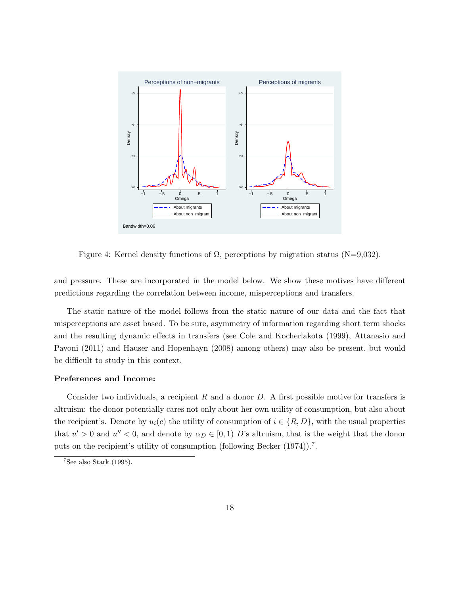

Figure 4: Kernel density functions of  $\Omega$ , perceptions by migration status (N=9,032).

and pressure. These are incorporated in the model below. We show these motives have different predictions regarding the correlation between income, misperceptions and transfers.

The static nature of the model follows from the static nature of our data and the fact that misperceptions are asset based. To be sure, asymmetry of information regarding short term shocks and the resulting dynamic effects in transfers (see Cole and Kocherlakota (1999), Attanasio and Pavoni (2011) and Hauser and Hopenhayn (2008) among others) may also be present, but would be difficult to study in this context.

#### Preferences and Income:

Consider two individuals, a recipient  $R$  and a donor  $D$ . A first possible motive for transfers is altruism: the donor potentially cares not only about her own utility of consumption, but also about the recipient's. Denote by  $u_i(c)$  the utility of consumption of  $i \in \{R, D\}$ , with the usual properties that  $u' > 0$  and  $u'' < 0$ , and denote by  $\alpha_D \in [0,1]$  D's altruism, that is the weight that the donor puts on the recipient's utility of consumption (following Becker (1974)).<sup>7</sup>.

 $7$ See also Stark (1995).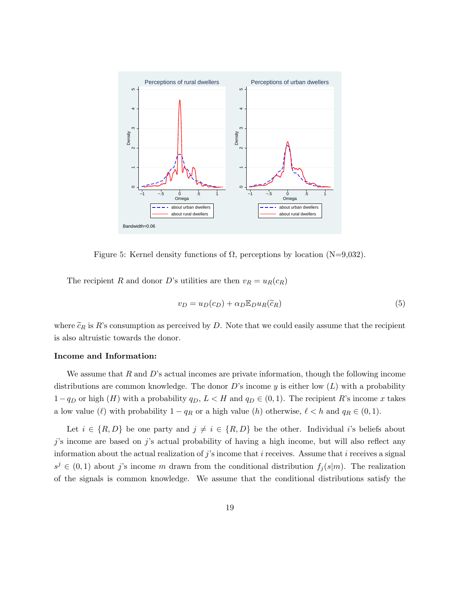

Figure 5: Kernel density functions of  $\Omega$ , perceptions by location (N=9,032).

The recipient R and donor D's utilities are then  $v_R = u_R(c_R)$ 

$$
v_D = u_D(c_D) + \alpha_D \mathbb{E}_D u_R(\tilde{c}_R)
$$
\n<sup>(5)</sup>

where  $\tilde{c}_R$  is R's consumption as perceived by D. Note that we could easily assume that the recipient is also altruistic towards the donor.

#### Income and Information:

We assume that  $R$  and  $D$ 's actual incomes are private information, though the following income distributions are common knowledge. The donor D's income y is either low  $(L)$  with a probability  $1-q_D$  or high  $(H)$  with a probability  $q_D$ ,  $L < H$  and  $q_D \in (0,1)$ . The recipient R's income x takes a low value ( $\ell$ ) with probability  $1 - q_R$  or a high value (h) otherwise,  $\ell < h$  and  $q_R \in (0, 1)$ .

Let  $i \in \{R, D\}$  be one party and  $j \neq i \in \{R, D\}$  be the other. Individual i's beliefs about  $j$ 's income are based on  $j$ 's actual probability of having a high income, but will also reflect any information about the actual realization of  $j$ 's income that  $i$  receives. Assume that  $i$  receives a signal  $s^j \in (0,1)$  about j's income m drawn from the conditional distribution  $f_j(s|m)$ . The realization of the signals is common knowledge. We assume that the conditional distributions satisfy the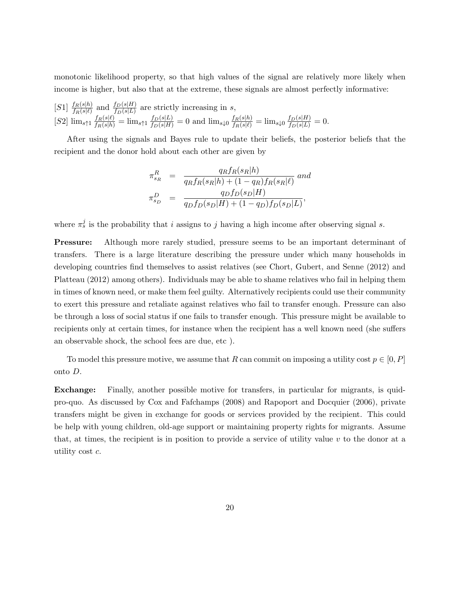monotonic likelihood property, so that high values of the signal are relatively more likely when income is higher, but also that at the extreme, these signals are almost perfectly informative:

[S1]  $\frac{f_R(s|h)}{f_R(s|\ell)}$  and  $\frac{f_D(s|H)}{f_D(s|L)}$  are strictly increasing in s,  $[S2] \lim_{s \uparrow 1} \frac{f_R(s|\ell)}{f_R(s|h)} = \lim_{s \uparrow 1} \frac{f_D(s|L)}{f_D(s|H)} = 0$  and  $\lim_{s \downarrow 0} \frac{f_R(s|h)}{f_R(s|\ell)} = \lim_{s \downarrow 0} \frac{f_D(s|H)}{f_D(s|L)} = 0$ .

After using the signals and Bayes rule to update their beliefs, the posterior beliefs that the recipient and the donor hold about each other are given by

$$
\pi_{s_R}^R = \frac{q_R f_R(s_R|h)}{q_R f_R(s_R|h) + (1 - q_R) f_R(s_R|\ell)} \text{ and}
$$
  

$$
\pi_{s_D}^D = \frac{q_D f_D(s_D|H)}{q_D f_D(s_D|H) + (1 - q_D) f_D(s_D|L)},
$$

where  $\pi_s^j$  is the probability that i assigns to j having a high income after observing signal s.

Pressure: Although more rarely studied, pressure seems to be an important determinant of transfers. There is a large literature describing the pressure under which many households in developing countries find themselves to assist relatives (see Chort, Gubert, and Senne (2012) and Platteau (2012) among others). Individuals may be able to shame relatives who fail in helping them in times of known need, or make them feel guilty. Alternatively recipients could use their community to exert this pressure and retaliate against relatives who fail to transfer enough. Pressure can also be through a loss of social status if one fails to transfer enough. This pressure might be available to recipients only at certain times, for instance when the recipient has a well known need (she suffers an observable shock, the school fees are due, etc ).

To model this pressure motive, we assume that R can commit on imposing a utility cost  $p \in [0, P]$ onto D.

Exchange: Finally, another possible motive for transfers, in particular for migrants, is quidpro-quo. As discussed by Cox and Fafchamps (2008) and Rapoport and Docquier (2006), private transfers might be given in exchange for goods or services provided by the recipient. This could be help with young children, old-age support or maintaining property rights for migrants. Assume that, at times, the recipient is in position to provide a service of utility value  $v$  to the donor at a utility cost c.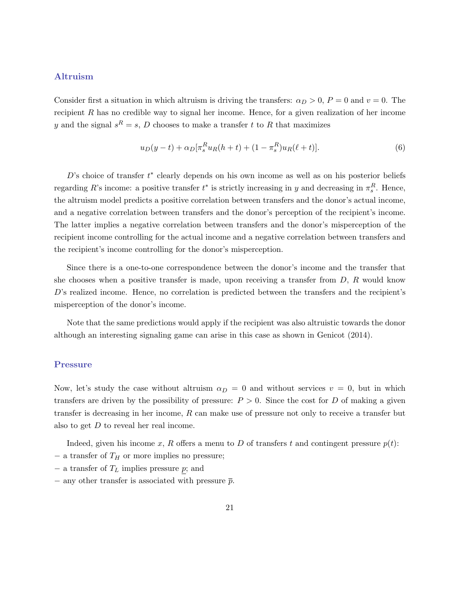#### Altruism

Consider first a situation in which altruism is driving the transfers:  $\alpha_D > 0$ ,  $P = 0$  and  $v = 0$ . The recipient  $R$  has no credible way to signal her income. Hence, for a given realization of her income y and the signal  $s^R = s$ , D chooses to make a transfer t to R that maximizes

$$
u_D(y-t) + \alpha_D[\pi_s^R u_R(h+t) + (1 - \pi_s^R)u_R(\ell+t)].
$$
\n(6)

 $D$ 's choice of transfer  $t^*$  clearly depends on his own income as well as on his posterior beliefs regarding R's income: a positive transfer  $t^*$  is strictly increasing in y and decreasing in  $\pi_s^R$ . Hence, the altruism model predicts a positive correlation between transfers and the donor's actual income, and a negative correlation between transfers and the donor's perception of the recipient's income. The latter implies a negative correlation between transfers and the donor's misperception of the recipient income controlling for the actual income and a negative correlation between transfers and the recipient's income controlling for the donor's misperception.

Since there is a one-to-one correspondence between the donor's income and the transfer that she chooses when a positive transfer is made, upon receiving a transfer from  $D, R$  would know D's realized income. Hence, no correlation is predicted between the transfers and the recipient's misperception of the donor's income.

Note that the same predictions would apply if the recipient was also altruistic towards the donor although an interesting signaling game can arise in this case as shown in Genicot (2014).

#### Pressure

Now, let's study the case without altruism  $\alpha_D = 0$  and without services  $v = 0$ , but in which transfers are driven by the possibility of pressure:  $P > 0$ . Since the cost for D of making a given transfer is decreasing in her income,  $R$  can make use of pressure not only to receive a transfer but also to get D to reveal her real income.

Indeed, given his income x, R offers a menu to D of transfers t and contingent pressure  $p(t)$ :

- $-$  a transfer of  $T_H$  or more implies no pressure;
- $-$  a transfer of  $T<sub>L</sub>$  implies pressure p; and
- $-$  any other transfer is associated with pressure  $\bar{p}$ .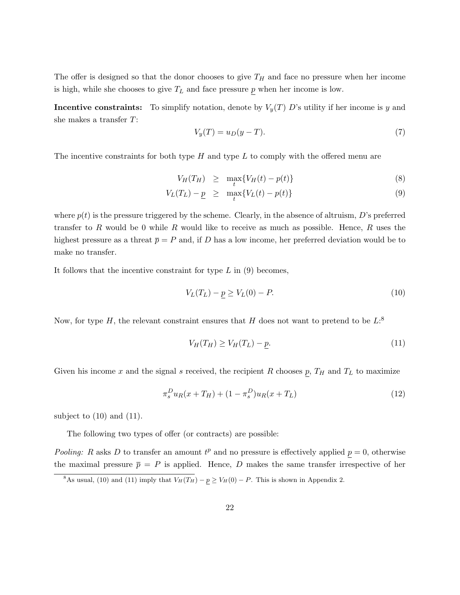The offer is designed so that the donor chooses to give  $T_H$  and face no pressure when her income is high, while she chooses to give  $T_L$  and face pressure p when her income is low.

**Incentive constraints:** To simplify notation, denote by  $V_y(T) D$ 's utility if her income is y and she makes a transfer T:

$$
V_y(T) = u_D(y - T). \tag{7}
$$

The incentive constraints for both type  $H$  and type  $L$  to comply with the offered menu are

$$
V_H(T_H) \geq \max_t \{ V_H(t) - p(t) \} \tag{8}
$$

$$
V_L(T_L) - \underline{p} \geq \max_t \{ V_L(t) - p(t) \} \tag{9}
$$

where  $p(t)$  is the pressure triggered by the scheme. Clearly, in the absence of altruism, D's preferred transfer to  $R$  would be 0 while  $R$  would like to receive as much as possible. Hence,  $R$  uses the highest pressure as a threat  $\bar{p} = P$  and, if D has a low income, her preferred deviation would be to make no transfer.

It follows that the incentive constraint for type  $L$  in  $(9)$  becomes,

$$
V_L(T_L) - p \ge V_L(0) - P.
$$
\n(10)

Now, for type H, the relevant constraint ensures that H does not want to pretend to be  $L$ :<sup>8</sup>

$$
V_H(T_H) \ge V_H(T_L) - p. \tag{11}
$$

Given his income x and the signal s received, the recipient R chooses  $p$ ,  $T_H$  and  $T_L$  to maximize

$$
\pi_s^D u_R(x + T_H) + (1 - \pi_s^D) u_R(x + T_L)
$$
\n(12)

subject to  $(10)$  and  $(11)$ .

The following two types of offer (or contracts) are possible:

Pooling: R asks D to transfer an amount  $t^p$  and no pressure is effectively applied  $p = 0$ , otherwise the maximal pressure  $\bar{p} = P$  is applied. Hence, D makes the same transfer irrespective of her

<sup>&</sup>lt;sup>8</sup>As usual, (10) and (11) imply that  $V_H(T_H) - p \ge V_H(0) - P$ . This is shown in Appendix 2.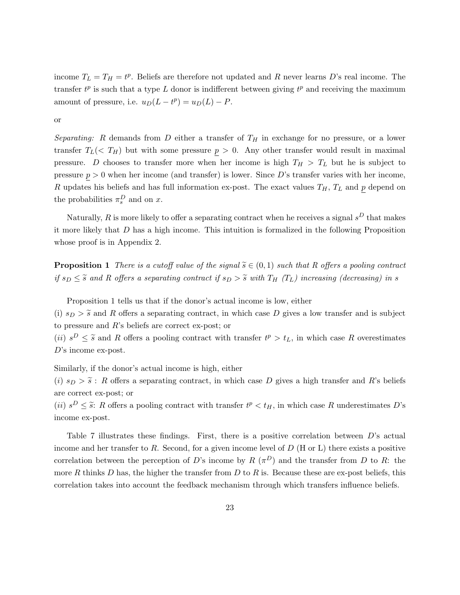income  $T_L = T_H = t^p$ . Beliefs are therefore not updated and R never learns D's real income. The transfer  $t^p$  is such that a type L donor is indifferent between giving  $t^p$  and receiving the maximum amount of pressure, i.e.  $u_D(L - t^p) = u_D(L) - P$ .

or

Separating: R demands from D either a transfer of  $T_H$  in exchange for no pressure, or a lower transfer  $T_L$  (<  $T_H$ ) but with some pressure  $p > 0$ . Any other transfer would result in maximal pressure. D chooses to transfer more when her income is high  $T_H > T_L$  but he is subject to pressure  $p > 0$  when her income (and transfer) is lower. Since D's transfer varies with her income, R updates his beliefs and has full information ex-post. The exact values  $T_H$ ,  $T_L$  and p depend on the probabilities  $\pi_s^D$  and on x.

Naturally, R is more likely to offer a separating contract when he receives a signal  $s^D$  that makes it more likely that  $D$  has a high income. This intuition is formalized in the following Proposition whose proof is in Appendix 2.

**Proposition 1** There is a cutoff value of the signal  $\widetilde{s} \in (0,1)$  such that R offers a pooling contract if  $s_D \leq \tilde{s}$  and R offers a separating contract if  $s_D > \tilde{s}$  with  $T_H$  ( $T_L$ ) increasing (decreasing) in s

Proposition 1 tells us that if the donor's actual income is low, either

(i)  $s_D > \tilde{s}$  and R offers a separating contract, in which case D gives a low transfer and is subject to pressure and R's beliefs are correct ex-post; or

(*ii*)  $s^D \leq \tilde{s}$  and R offers a pooling contract with transfer  $t^p > t_L$ , in which case R overestimates D's income ex-post.

Similarly, if the donor's actual income is high, either

(i)  $s_D > \tilde{s}$ : R offers a separating contract, in which case D gives a high transfer and R's beliefs are correct ex-post; or

(*ii*)  $s^D \leq \tilde{s}$ : R offers a pooling contract with transfer  $t^p < t_H$ , in which case R underestimates D's income ex-post.

Table 7 illustrates these findings. First, there is a positive correlation between  $D$ 's actual income and her transfer to  $R$ . Second, for a given income level of  $D$  (H or L) there exists a positive correlation between the perception of D's income by R  $(\pi^D)$  and the transfer from D to R: the more R thinks D has, the higher the transfer from D to R is. Because these are ex-post beliefs, this correlation takes into account the feedback mechanism through which transfers influence beliefs.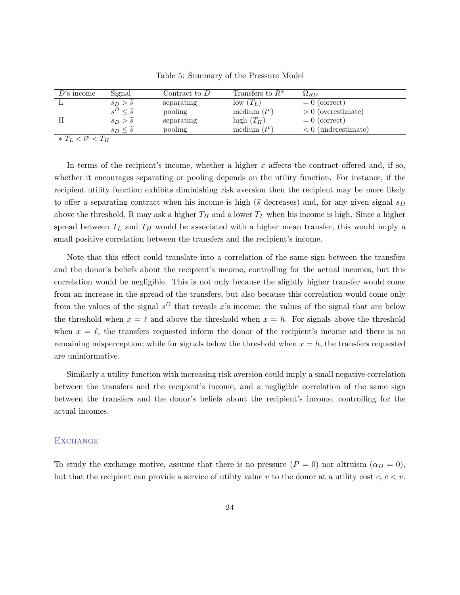| $D$ 's income       | Signal                   | Contract to $D$ | Transfers to $R^*$ | $\Omega_{BD}$         |
|---------------------|--------------------------|-----------------|--------------------|-----------------------|
|                     | $s_D > \tilde{s}$        | separating      | $low(T_L)$         | $= 0$ (correct)       |
|                     | $s^D \leq \widetilde{s}$ | pooling         | medium $(t^p)$     | $> 0$ (overestimate)  |
|                     | $s_D > \widetilde{s}$    | separating      | high $(T_H)$       | $= 0$ (correct)       |
|                     | $s_D \leq \tilde{s}$     | pooling         | medium $(t^p)$     | $< 0$ (underestimate) |
| $* T_L < t^p < T_H$ |                          |                 |                    |                       |

Table 5: Summary of the Pressure Model

In terms of the recipient's income, whether a higher  $x$  affects the contract offered and, if so, whether it encourages separating or pooling depends on the utility function. For instance, if the recipient utility function exhibits diminishing risk aversion then the recipient may be more likely to offer a separating contract when his income is high ( $\tilde{s}$  decreases) and, for any given signal  $s_D$ above the threshold, R may ask a higher  $T_H$  and a lower  $T_L$  when his income is high. Since a higher spread between  $T_L$  and  $T_H$  would be associated with a higher mean transfer, this would imply a small positive correlation between the transfers and the recipient's income.

Note that this effect could translate into a correlation of the same sign between the transfers and the donor's beliefs about the recipient's income, controlling for the actual incomes, but this correlation would be negligible. This is not only because the slightly higher transfer would come from an increase in the spread of the transfers, but also because this correlation would come only from the values of the signal  $s^D$  that reveals x's income: the values of the signal that are below the threshold when  $x = \ell$  and above the threshold when  $x = h$ . For signals above the threshold when  $x = \ell$ , the transfers requested inform the donor of the recipient's income and there is no remaining misperception; while for signals below the threshold when  $x = h$ , the transfers requested are uninformative.

Similarly a utility function with increasing risk aversion could imply a small negative correlation between the transfers and the recipient's income, and a negligible correlation of the same sign between the transfers and the donor's beliefs about the recipient's income, controlling for the actual incomes.

#### **EXCHANGE**

To study the exchange motive, assume that there is no pressure  $(P = 0)$  nor altruism  $(\alpha_D = 0)$ , but that the recipient can provide a service of utility value v to the donor at a utility cost  $c, c < v$ .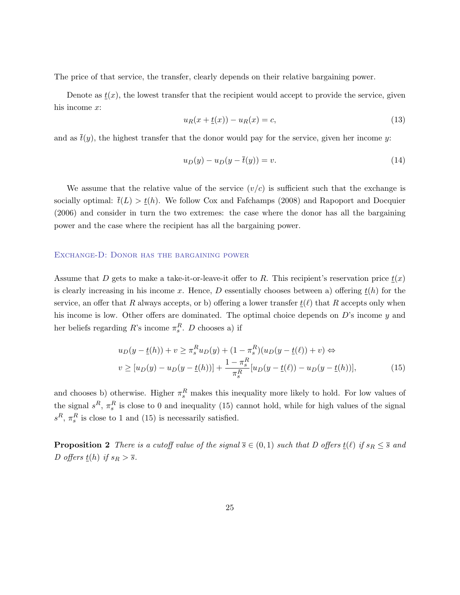The price of that service, the transfer, clearly depends on their relative bargaining power.

Denote as  $t(x)$ , the lowest transfer that the recipient would accept to provide the service, given his income x:

$$
u_R(x + \underline{t}(x)) - u_R(x) = c,\t\t(13)
$$

and as  $\bar{t}(y)$ , the highest transfer that the donor would pay for the service, given her income y:

$$
u_D(y) - u_D(y - \overline{t}(y)) = v.
$$
\n
$$
(14)
$$

We assume that the relative value of the service  $(v/c)$  is sufficient such that the exchange is socially optimal:  $\bar{t}(L) > t(h)$ . We follow Cox and Fafchamps (2008) and Rapoport and Docquier (2006) and consider in turn the two extremes: the case where the donor has all the bargaining power and the case where the recipient has all the bargaining power.

#### Exchange-D: Donor has the bargaining power

Assume that D gets to make a take-it-or-leave-it offer to R. This recipient's reservation price  $\underline{t}(x)$ is clearly increasing in his income x. Hence, D essentially chooses between a) offering  $t(h)$  for the service, an offer that R always accepts, or b) offering a lower transfer  $\underline{t}(\ell)$  that R accepts only when his income is low. Other offers are dominated. The optimal choice depends on  $D$ 's income  $y$  and her beliefs regarding  $R$ 's income  $\pi_s^R$ . D chooses a) if

$$
u_D(y - \underline{t}(h)) + v \ge \pi_s^R u_D(y) + (1 - \pi_s^R)(u_D(y - \underline{t}(\ell)) + v) \Leftrightarrow
$$
  

$$
v \ge [u_D(y) - u_D(y - \underline{t}(h))] + \frac{1 - \pi_s^R}{\pi_s^R} [u_D(y - \underline{t}(\ell)) - u_D(y - \underline{t}(h))],
$$
 (15)

and chooses b) otherwise. Higher  $\pi_s^R$  makes this inequality more likely to hold. For low values of the signal  $s^R$ ,  $\pi_s^R$  is close to 0 and inequality (15) cannot hold, while for high values of the signal  $s^R$ ,  $\pi_s^R$  is close to 1 and (15) is necessarily satisfied.

**Proposition 2** There is a cutoff value of the signal  $\overline{s} \in (0,1)$  such that D offers  $\underline{t}(\ell)$  if  $s_R \leq \overline{s}$  and D offers  $\underline{t}(h)$  if  $s_R > \overline{s}$ .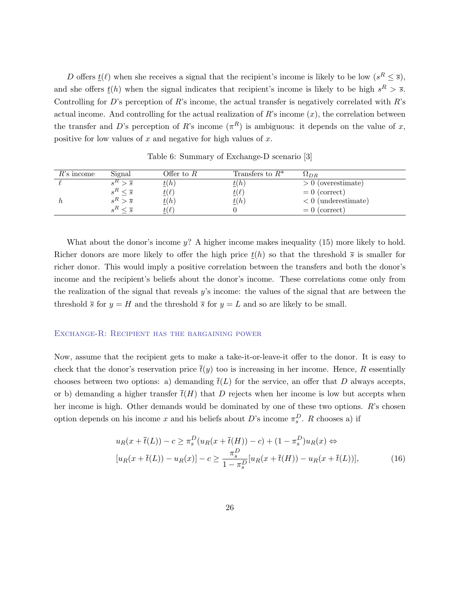D offers  $\underline{t}(\ell)$  when she receives a signal that the recipient's income is likely to be low  $(s^R \leq \overline{s})$ , and she offers  $\underline{t}(h)$  when the signal indicates that recipient's income is likely to be high  $s^R > \overline{s}$ . Controlling for D's perception of R's income, the actual transfer is negatively correlated with  $R$ 's actual income. And controlling for the actual realization of  $R$ 's income  $(x)$ , the correlation between the transfer and D's perception of R's income  $(\pi^R)$  is ambiguous: it depends on the value of x, positive for low values of  $x$  and negative for high values of  $x$ .

| $R$ 's income | Signal | Offer to $R$          | Transfers to $R^*$        | $\Delta$ <i>LDR</i>   |
|---------------|--------|-----------------------|---------------------------|-----------------------|
|               |        | t(h)                  | t(h)                      | $> 0$ (overestimate)  |
|               |        | $\underline{t}(\ell)$ | $\underline{\iota}(\ell)$ | $= 0$ (correct)       |
|               |        | $\underline{t}(h)$    | t(h)                      | $< 0$ (underestimate) |
|               |        | $t(\ell)$             |                           | $= 0$ (correct)       |

Table 6: Summary of Exchange-D scenario [3]

What about the donor's income  $y$ ? A higher income makes inequality (15) more likely to hold. Richer donors are more likely to offer the high price  $t(h)$  so that the threshold  $\bar{s}$  is smaller for richer donor. This would imply a positive correlation between the transfers and both the donor's income and the recipient's beliefs about the donor's income. These correlations come only from the realization of the signal that reveals y's income: the values of the signal that are between the threshold  $\bar{s}$  for  $y = H$  and the threshold  $\bar{s}$  for  $y = L$  and so are likely to be small.

#### Exchange-R: Recipient has the bargaining power

Now, assume that the recipient gets to make a take-it-or-leave-it offer to the donor. It is easy to check that the donor's reservation price  $\bar{t}(y)$  too is increasing in her income. Hence, R essentially chooses between two options: a) demanding  $\bar{t}(L)$  for the service, an offer that D always accepts, or b) demanding a higher transfer  $\bar{t}(H)$  that D rejects when her income is low but accepts when her income is high. Other demands would be dominated by one of these two options.  $R$ 's chosen option depends on his income x and his beliefs about D's income  $\pi_s^D$ . R chooses a) if

$$
u_R(x + \bar{t}(L)) - c \ge \pi_s^D(u_R(x + \bar{t}(H)) - c) + (1 - \pi_s^D)u_R(x) \Leftrightarrow
$$
  
\n
$$
[u_R(x + \bar{t}(L)) - u_R(x)] - c \ge \frac{\pi_s^D}{1 - \pi_s^D}[u_R(x + \bar{t}(H)) - u_R(x + \bar{t}(L))],
$$
\n(16)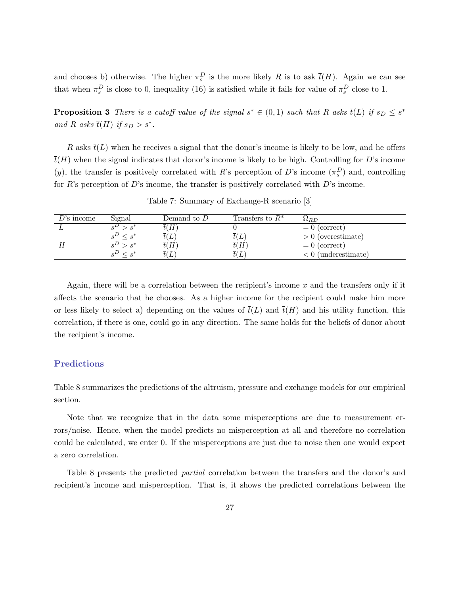and chooses b) otherwise. The higher  $\pi_s^D$  is the more likely R is to ask  $\bar{t}(H)$ . Again we can see that when  $\pi_s^D$  is close to 0, inequality (16) is satisfied while it fails for value of  $\pi_s^D$  close to 1.

**Proposition 3** There is a cutoff value of the signal  $s^* \in (0,1)$  such that R asks  $\overline{t}(L)$  if  $s_D \leq s^*$ and R asks  $\overline{t}(H)$  if  $s_D > s^*$ .

R asks  $\bar{t}(L)$  when he receives a signal that the donor's income is likely to be low, and he offers  $\overline{t}(H)$  when the signal indicates that donor's income is likely to be high. Controlling for D's income (y), the transfer is positively correlated with R's perception of D's income  $(\pi_s^D)$  and, controlling for  $R$ 's perception of  $D$ 's income, the transfer is positively correlated with  $D$ 's income.

| $D$ 's income | Signal        | Demand to $D$ | Transfers to $R^*$ | $\Omega_{BD}$         |
|---------------|---------------|---------------|--------------------|-----------------------|
|               |               | $\bar{t}(H)$  |                    | $= 0$ (correct)       |
|               | $\leq s^*$    | t(L)          | t(L)               | $> 0$ (overestimate)  |
|               |               | $\bar{t}(H)$  | $\bar{t}(H)$       | $= 0$ (correct)       |
|               | $\langle e^*$ | $\iota(L)$    |                    | $< 0$ (underestimate) |

Table 7: Summary of Exchange-R scenario [3]

Again, there will be a correlation between the recipient's income  $x$  and the transfers only if it affects the scenario that he chooses. As a higher income for the recipient could make him more or less likely to select a) depending on the values of  $\bar{t}(L)$  and  $\bar{t}(H)$  and his utility function, this correlation, if there is one, could go in any direction. The same holds for the beliefs of donor about the recipient's income.

#### Predictions

Table 8 summarizes the predictions of the altruism, pressure and exchange models for our empirical section.

Note that we recognize that in the data some misperceptions are due to measurement errors/noise. Hence, when the model predicts no misperception at all and therefore no correlation could be calculated, we enter 0. If the misperceptions are just due to noise then one would expect a zero correlation.

Table 8 presents the predicted partial correlation between the transfers and the donor's and recipient's income and misperception. That is, it shows the predicted correlations between the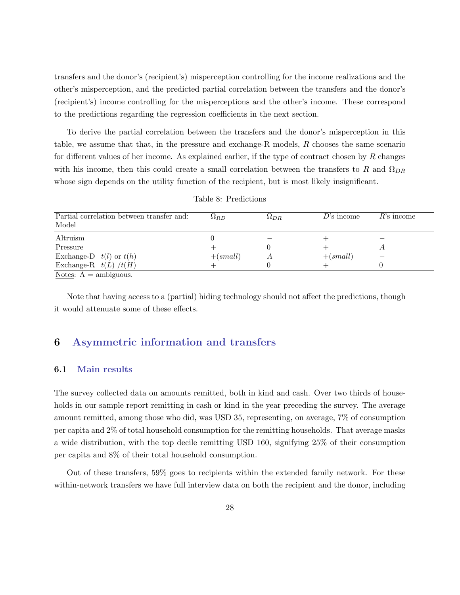transfers and the donor's (recipient's) misperception controlling for the income realizations and the other's misperception, and the predicted partial correlation between the transfers and the donor's (recipient's) income controlling for the misperceptions and the other's income. These correspond to the predictions regarding the regression coefficients in the next section.

To derive the partial correlation between the transfers and the donor's misperception in this table, we assume that that, in the pressure and exchange-R models, R chooses the same scenario for different values of her income. As explained earlier, if the type of contract chosen by  $R$  changes with his income, then this could create a small correlation between the transfers to R and  $\Omega_{DR}$ whose sign depends on the utility function of the recipient, but is most likely insignificant.

| Partial correlation between transfer and:<br>Model  | $\Omega_{BD}$ | $\Omega_{DR}$ | $D$ 's income | $R$ 's income |
|-----------------------------------------------------|---------------|---------------|---------------|---------------|
| Altruism                                            |               |               |               |               |
| Pressure                                            |               |               |               |               |
| Exchange-D $\underline{t}(l)$ or $\underline{t}(h)$ | $+(small)$    |               | $+(small)$    |               |
| Exchange-R $\bar{t}(L) / \bar{t}(H)$                |               |               |               |               |
| $Notae: \Delta =$ ambiguous                         |               |               |               |               |

Table 8: Predictions

Notes:  $A = \text{amn}$ guous.

Note that having access to a (partial) hiding technology should not affect the predictions, though it would attenuate some of these effects.

### 6 Asymmetric information and transfers

#### 6.1 Main results

The survey collected data on amounts remitted, both in kind and cash. Over two thirds of households in our sample report remitting in cash or kind in the year preceding the survey. The average amount remitted, among those who did, was USD 35, representing, on average, 7% of consumption per capita and 2% of total household consumption for the remitting households. That average masks a wide distribution, with the top decile remitting USD 160, signifying 25% of their consumption per capita and 8% of their total household consumption.

Out of these transfers, 59% goes to recipients within the extended family network. For these within-network transfers we have full interview data on both the recipient and the donor, including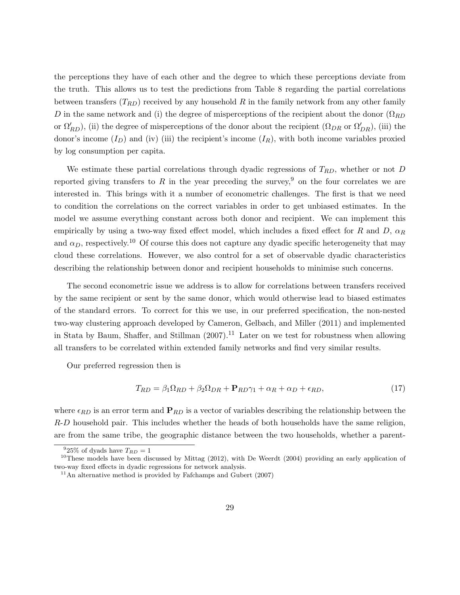the perceptions they have of each other and the degree to which these perceptions deviate from the truth. This allows us to test the predictions from Table 8 regarding the partial correlations between transfers  $(T_{RD})$  received by any household R in the family network from any other family D in the same network and (i) the degree of misperceptions of the recipient about the donor  $(\Omega_{RD})$ or  $\Omega'_{RD}$ ), (ii) the degree of misperceptions of the donor about the recipient  $(\Omega_{DR}$  or  $\Omega'_{DR}$ ), (iii) the donor's income  $(I_D)$  and (iv) (iii) the recipient's income  $(I_R)$ , with both income variables proxied by log consumption per capita.

We estimate these partial correlations through dyadic regressions of  $T_{RD}$ , whether or not D reported giving transfers to R in the year preceding the survey,<sup>9</sup> on the four correlates we are interested in. This brings with it a number of econometric challenges. The first is that we need to condition the correlations on the correct variables in order to get unbiased estimates. In the model we assume everything constant across both donor and recipient. We can implement this empirically by using a two-way fixed effect model, which includes a fixed effect for R and D,  $\alpha_R$ and  $\alpha_D$ , respectively.<sup>10</sup> Of course this does not capture any dyadic specific heterogeneity that may cloud these correlations. However, we also control for a set of observable dyadic characteristics describing the relationship between donor and recipient households to minimise such concerns.

The second econometric issue we address is to allow for correlations between transfers received by the same recipient or sent by the same donor, which would otherwise lead to biased estimates of the standard errors. To correct for this we use, in our preferred specification, the non-nested two-way clustering approach developed by Cameron, Gelbach, and Miller (2011) and implemented in Stata by Baum, Shaffer, and Stillman  $(2007).<sup>11</sup>$  Later on we test for robustness when allowing all transfers to be correlated within extended family networks and find very similar results.

Our preferred regression then is

$$
T_{RD} = \beta_1 \Omega_{RD} + \beta_2 \Omega_{DR} + \mathbf{P}_{RD} \gamma_1 + \alpha_R + \alpha_D + \epsilon_{RD},\tag{17}
$$

where  $\epsilon_{RD}$  is an error term and  $P_{RD}$  is a vector of variables describing the relationship between the R-D household pair. This includes whether the heads of both households have the same religion, are from the same tribe, the geographic distance between the two households, whether a parent-

 $925\%$  of dyads have  $T_{RD} = 1$ 

<sup>&</sup>lt;sup>10</sup>These models have been discussed by Mittag  $(2012)$ , with De Weerdt  $(2004)$  providing an early application of two-way fixed effects in dyadic regressions for network analysis.

 $11$ An alternative method is provided by Fafchamps and Gubert (2007)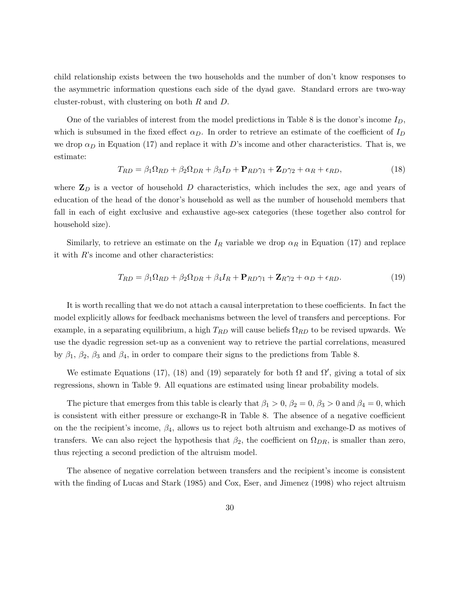child relationship exists between the two households and the number of don't know responses to the asymmetric information questions each side of the dyad gave. Standard errors are two-way cluster-robust, with clustering on both R and D.

One of the variables of interest from the model predictions in Table 8 is the donor's income  $I_D$ , which is subsumed in the fixed effect  $\alpha_D$ . In order to retrieve an estimate of the coefficient of  $I_D$ we drop  $\alpha_D$  in Equation (17) and replace it with D's income and other characteristics. That is, we estimate:

$$
T_{RD} = \beta_1 \Omega_{RD} + \beta_2 \Omega_{DR} + \beta_3 I_D + \mathbf{P}_{RD} \gamma_1 + \mathbf{Z}_D \gamma_2 + \alpha_R + \epsilon_{RD},\tag{18}
$$

where  $\mathbf{Z}_D$  is a vector of household D characteristics, which includes the sex, age and years of education of the head of the donor's household as well as the number of household members that fall in each of eight exclusive and exhaustive age-sex categories (these together also control for household size).

Similarly, to retrieve an estimate on the  $I_R$  variable we drop  $\alpha_R$  in Equation (17) and replace it with R's income and other characteristics:

$$
T_{RD} = \beta_1 \Omega_{RD} + \beta_2 \Omega_{DR} + \beta_4 I_R + \mathbf{P}_{RD} \gamma_1 + \mathbf{Z}_R \gamma_2 + \alpha_D + \epsilon_{RD}.
$$
\n(19)

It is worth recalling that we do not attach a causal interpretation to these coefficients. In fact the model explicitly allows for feedback mechanisms between the level of transfers and perceptions. For example, in a separating equilibrium, a high  $T_{RD}$  will cause beliefs  $\Omega_{RD}$  to be revised upwards. We use the dyadic regression set-up as a convenient way to retrieve the partial correlations, measured by  $\beta_1$ ,  $\beta_2$ ,  $\beta_3$  and  $\beta_4$ , in order to compare their signs to the predictions from Table 8.

We estimate Equations (17), (18) and (19) separately for both  $\Omega$  and  $\Omega'$ , giving a total of six regressions, shown in Table 9. All equations are estimated using linear probability models.

The picture that emerges from this table is clearly that  $\beta_1 > 0$ ,  $\beta_2 = 0$ ,  $\beta_3 > 0$  and  $\beta_4 = 0$ , which is consistent with either pressure or exchange-R in Table 8. The absence of a negative coefficient on the the recipient's income,  $\beta_4$ , allows us to reject both altruism and exchange-D as motives of transfers. We can also reject the hypothesis that  $\beta_2$ , the coefficient on  $\Omega_{DR}$ , is smaller than zero, thus rejecting a second prediction of the altruism model.

The absence of negative correlation between transfers and the recipient's income is consistent with the finding of Lucas and Stark (1985) and Cox, Eser, and Jimenez (1998) who reject altruism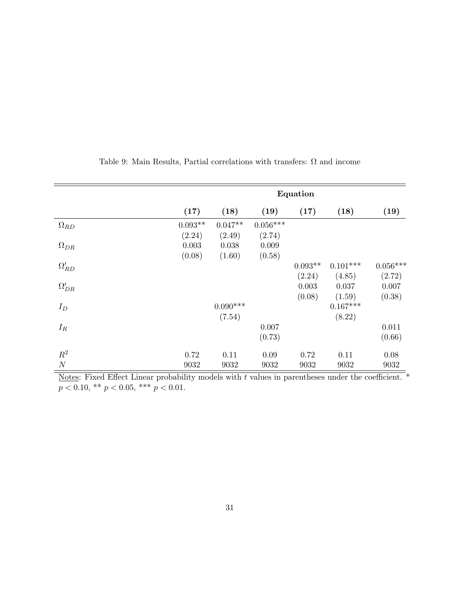|                | Equation  |                 |            |           |            |            |  |
|----------------|-----------|-----------------|------------|-----------|------------|------------|--|
|                | (17)      | (18)            | (19)       | (17)      | (18)       | (19)       |  |
| $\Omega_{RD}$  | $0.093**$ | $0.047**$       | $0.056***$ |           |            |            |  |
|                | (2.24)    | (2.49)          | (2.74)     |           |            |            |  |
| $\Omega_{DR}$  | 0.003     | 0.038           | 0.009      |           |            |            |  |
|                | (0.08)    | (1.60)          | (0.58)     |           |            |            |  |
| $\Omega_{RD}'$ |           |                 |            | $0.093**$ | $0.101***$ | $0.056***$ |  |
|                |           |                 |            | (2.24)    | (4.85)     | (2.72)     |  |
| $\Omega'_{DR}$ |           |                 |            | 0.003     | 0.037      | 0.007      |  |
|                |           |                 |            | (0.08)    | (1.59)     | (0.38)     |  |
| $I_D$          |           | $0.090^{***}\;$ |            |           | $0.167***$ |            |  |
|                |           | (7.54)          |            |           | (8.22)     |            |  |
| $I_R$          |           |                 | 0.007      |           |            | 0.011      |  |
|                |           |                 | (0.73)     |           |            | (0.66)     |  |
| $R^2$          | 0.72      | 0.11            | 0.09       | 0.72      | 0.11       | 0.08       |  |
| $\cal N$       | 9032      | 9032            | 9032       | 9032      | 9032       | 9032       |  |

Table 9: Main Results, Partial correlations with transfers:  $\Omega$  and income

Notes: Fixed Effect Linear probability models with  $t$  values in parentheses under the coefficient.  $p < 0.10,$  \*\*  $p < 0.05,$  \*\*\*  $p < 0.01$ .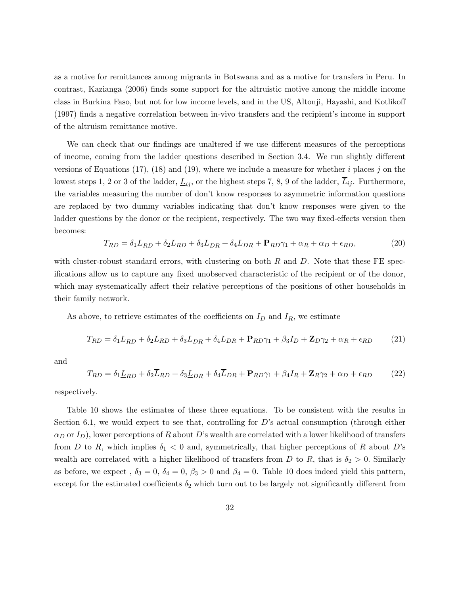as a motive for remittances among migrants in Botswana and as a motive for transfers in Peru. In contrast, Kazianga (2006) finds some support for the altruistic motive among the middle income class in Burkina Faso, but not for low income levels, and in the US, Altonji, Hayashi, and Kotlikoff (1997) finds a negative correlation between in-vivo transfers and the recipient's income in support of the altruism remittance motive.

We can check that our findings are unaltered if we use different measures of the perceptions of income, coming from the ladder questions described in Section 3.4. We run slightly different versions of Equations (17), (18) and (19), where we include a measure for whether i places j on the lowest steps 1, 2 or 3 of the ladder,  $\underline{L}_{ij}$ , or the highest steps 7, 8, 9 of the ladder,  $\overline{L}_{ij}$ . Furthermore, the variables measuring the number of don't know responses to asymmetric information questions are replaced by two dummy variables indicating that don't know responses were given to the ladder questions by the donor or the recipient, respectively. The two way fixed-effects version then becomes:

$$
T_{RD} = \delta_1 \underline{L}_{RD} + \delta_2 \overline{L}_{RD} + \delta_3 \underline{L}_{DR} + \delta_4 \overline{L}_{DR} + \mathbf{P}_{RD} \gamma_1 + \alpha_R + \alpha_D + \epsilon_{RD},\tag{20}
$$

with cluster-robust standard errors, with clustering on both  $R$  and  $D$ . Note that these FE specifications allow us to capture any fixed unobserved characteristic of the recipient or of the donor, which may systematically affect their relative perceptions of the positions of other households in their family network.

As above, to retrieve estimates of the coefficients on  $I_D$  and  $I_R$ , we estimate

$$
T_{RD} = \delta_1 \underline{L}_{RD} + \delta_2 \overline{L}_{RD} + \delta_3 \underline{L}_{DR} + \delta_4 \overline{L}_{DR} + \mathbf{P}_{RD} \gamma_1 + \beta_3 I_D + \mathbf{Z}_D \gamma_2 + \alpha_R + \epsilon_{RD} \tag{21}
$$

and

$$
T_{RD} = \delta_1 \underline{L}_{RD} + \delta_2 \overline{L}_{RD} + \delta_3 \underline{L}_{DR} + \delta_4 \overline{L}_{DR} + \mathbf{P}_{RD} \gamma_1 + \beta_4 I_R + \mathbf{Z}_R \gamma_2 + \alpha_D + \epsilon_{RD} \tag{22}
$$

respectively.

Table 10 shows the estimates of these three equations. To be consistent with the results in Section 6.1, we would expect to see that, controlling for D's actual consumption (through either  $\alpha_D$  or  $I_D$ ), lower perceptions of R about D's wealth are correlated with a lower likelihood of transfers from D to R, which implies  $\delta_1 < 0$  and, symmetrically, that higher perceptions of R about D's wealth are correlated with a higher likelihood of transfers from D to R, that is  $\delta_2 > 0$ . Similarly as before, we expect,  $\delta_3 = 0$ ,  $\delta_4 = 0$ ,  $\beta_3 > 0$  and  $\beta_4 = 0$ . Table 10 does indeed yield this pattern, except for the estimated coefficients  $\delta_2$  which turn out to be largely not significantly different from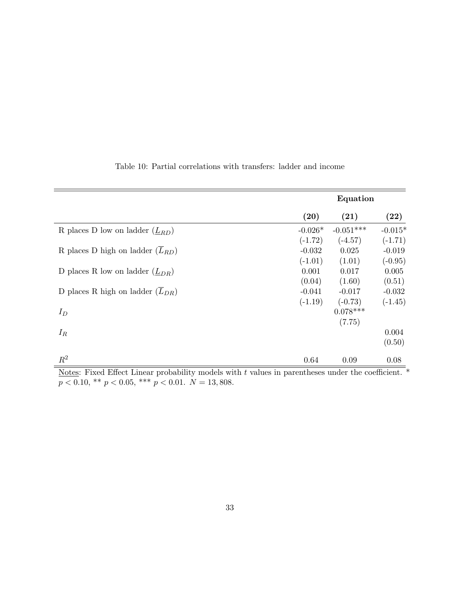|                                                 |           | Equation    |                    |
|-------------------------------------------------|-----------|-------------|--------------------|
|                                                 | (20)      | (21)        | $\left( 22\right)$ |
| R places D low on ladder $(\underline{L}_{RD})$ | $-0.026*$ | $-0.051***$ | $-0.015*$          |
|                                                 | $(-1.72)$ | $(-4.57)$   | $(-1.71)$          |
| R places D high on ladder $(L_{RD})$            | $-0.032$  | 0.025       | $-0.019$           |
|                                                 | $(-1.01)$ | (1.01)      | $(-0.95)$          |
| D places R low on ladder $(\underline{L}_{DR})$ | 0.001     | 0.017       | 0.005              |
|                                                 | (0.04)    | (1.60)      | (0.51)             |
| D places R high on ladder $(L_{DR})$            | $-0.041$  | $-0.017$    | $-0.032$           |
|                                                 | $(-1.19)$ | $(-0.73)$   | $(-1.45)$          |
| $I_D$                                           |           | $0.078***$  |                    |
|                                                 |           | (7.75)      |                    |
| $I_R$                                           |           |             | 0.004              |
|                                                 |           |             | (0.50)             |
| $R^2$                                           | 0.64      | 0.09        | 0.08               |

Table 10: Partial correlations with transfers: ladder and income

Notes: Fixed Effect Linear probability models with  $t$  values in parentheses under the coefficient.  $*$  $p < 0.10, ** p < 0.05,*** p < 0.01.$   $N = 13,808.$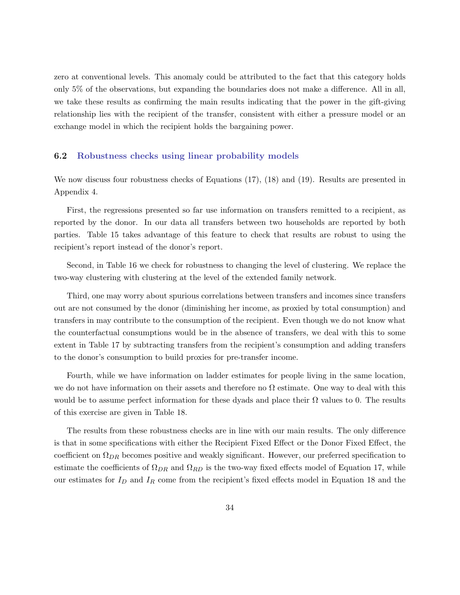zero at conventional levels. This anomaly could be attributed to the fact that this category holds only 5% of the observations, but expanding the boundaries does not make a difference. All in all, we take these results as confirming the main results indicating that the power in the gift-giving relationship lies with the recipient of the transfer, consistent with either a pressure model or an exchange model in which the recipient holds the bargaining power.

#### 6.2 Robustness checks using linear probability models

We now discuss four robustness checks of Equations (17), (18) and (19). Results are presented in Appendix 4.

First, the regressions presented so far use information on transfers remitted to a recipient, as reported by the donor. In our data all transfers between two households are reported by both parties. Table 15 takes advantage of this feature to check that results are robust to using the recipient's report instead of the donor's report.

Second, in Table 16 we check for robustness to changing the level of clustering. We replace the two-way clustering with clustering at the level of the extended family network.

Third, one may worry about spurious correlations between transfers and incomes since transfers out are not consumed by the donor (diminishing her income, as proxied by total consumption) and transfers in may contribute to the consumption of the recipient. Even though we do not know what the counterfactual consumptions would be in the absence of transfers, we deal with this to some extent in Table 17 by subtracting transfers from the recipient's consumption and adding transfers to the donor's consumption to build proxies for pre-transfer income.

Fourth, while we have information on ladder estimates for people living in the same location, we do not have information on their assets and therefore no  $\Omega$  estimate. One way to deal with this would be to assume perfect information for these dyads and place their  $\Omega$  values to 0. The results of this exercise are given in Table 18.

The results from these robustness checks are in line with our main results. The only difference is that in some specifications with either the Recipient Fixed Effect or the Donor Fixed Effect, the coefficient on  $\Omega_{DR}$  becomes positive and weakly significant. However, our preferred specification to estimate the coefficients of  $\Omega_{DR}$  and  $\Omega_{RD}$  is the two-way fixed effects model of Equation 17, while our estimates for  $I_D$  and  $I_R$  come from the recipient's fixed effects model in Equation 18 and the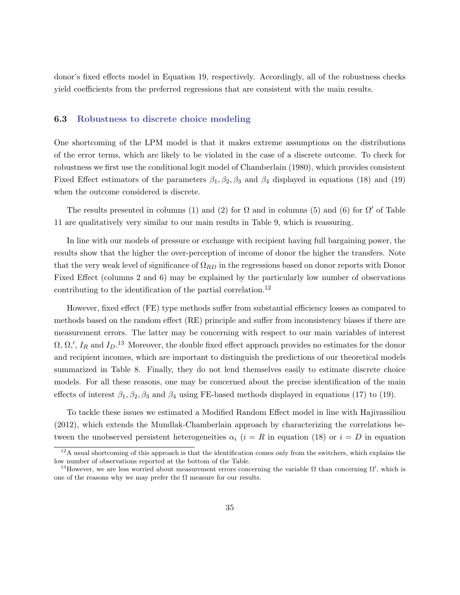donor's fixed effects model in Equation 19, respectively. Accordingly, all of the robustness checks yield coefficients from the preferred regressions that are consistent with the main results.

#### 6.3 Robustness to discrete choice modeling

One shortcoming of the LPM model is that it makes extreme assumptions on the distributions of the error terms, which are likely to be violated in the case of a discrete outcome. To check for robustness we first use the conditional logit model of Chamberlain (1980), which provides consistent Fixed Effect estimators of the parameters  $\beta_1, \beta_2, \beta_3$  and  $\beta_4$  displayed in equations (18) and (19) when the outcome considered is discrete.

The results presented in columns (1) and (2) for  $\Omega$  and in columns (5) and (6) for  $\Omega'$  of Table 11 are qualitatively very similar to our main results in Table 9, which is reassuring.

In line with our models of pressure or exchange with recipient having full bargaining power, the results show that the higher the over-perception of income of donor the higher the transfers. Note that the very weak level of significance of  $\Omega_{RD}$  in the regressions based on donor reports with Donor Fixed Effect (columns 2 and 6) may be explained by the particularly low number of observations contributing to the identification of the partial correlation.<sup>12</sup>

However, fixed effect (FE) type methods suffer from substantial efficiency losses as compared to methods based on the random effect (RE) principle and suffer from inconsistency biases if there are measurement errors. The latter may be concerning with respect to our main variables of interest  $\Omega, \Omega,', I_R$  and  $I_D$ <sup>13</sup> Moreover, the double fixed effect approach provides no estimates for the donor and recipient incomes, which are important to distinguish the predictions of our theoretical models summarized in Table 8. Finally, they do not lend themselves easily to estimate discrete choice models. For all these reasons, one may be concerned about the precise identification of the main effects of interest  $\beta_1$ ,  $\beta_2$ ,  $\beta_3$  and  $\beta_4$  using FE-based methods displayed in equations (17) to (19).

To tackle these issues we estimated a Modified Random Effect model in line with Hajivassiliou (2012), which extends the Mundlak-Chamberlain approach by characterizing the correlations between the unobserved persistent heterogeneities  $\alpha_i$  (i = R in equation (18) or  $i = D$  in equation

 $12A$  usual shortcoming of this approach is that the identification comes only from the switchers, which explains the low number of observations reported at the bottom of the Table.

<sup>&</sup>lt;sup>13</sup>However, we are less worried about measurement errors concerning the variable  $\Omega$  than concerning  $\Omega'$ , which is one of the reasons why we may prefer the  $\Omega$  measure for our results.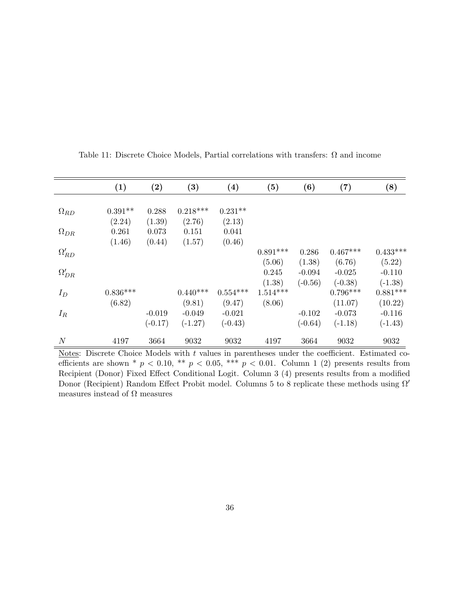|                        | (1)        | $\rm(2)$  | $\bf(3)$   | (4)        | (5)        | (6)       | (7)        | (8)        |
|------------------------|------------|-----------|------------|------------|------------|-----------|------------|------------|
|                        |            |           |            |            |            |           |            |            |
| $\Omega_{RD}$          | $0.391**$  | 0.288     | $0.218***$ | $0.231**$  |            |           |            |            |
|                        | (2.24)     | (1.39)    | (2.76)     | (2.13)     |            |           |            |            |
| $\Omega_{DR}$          | 0.261      | 0.073     | 0.151      | 0.041      |            |           |            |            |
|                        | (1.46)     | (0.44)    | (1.57)     | (0.46)     |            |           |            |            |
| $\Omega_{RD}^{\prime}$ |            |           |            |            | $0.891***$ | 0.286     | $0.467***$ | $0.433***$ |
|                        |            |           |            |            | (5.06)     | (1.38)    | (6.76)     | (5.22)     |
| $\Omega'_{DR}$         |            |           |            |            | 0.245      | $-0.094$  | $-0.025$   | $-0.110$   |
|                        |            |           |            |            | (1.38)     | $(-0.56)$ | $(-0.38)$  | $(-1.38)$  |
| $I_D$                  | $0.836***$ |           | $0.440***$ | $0.554***$ | $1.514***$ |           | $0.796***$ | $0.881***$ |
|                        | (6.82)     |           | (9.81)     | (9.47)     | (8.06)     |           | (11.07)    | (10.22)    |
| $I_R$                  |            | $-0.019$  | $-0.049$   | $-0.021$   |            | $-0.102$  | $-0.073$   | $-0.116$   |
|                        |            | $(-0.17)$ | $(-1.27)$  | $(-0.43)$  |            | $(-0.64)$ | $(-1.18)$  | $(-1.43)$  |
| $\boldsymbol{N}$       | 4197       | 3664      | 9032       | 9032       | 4197       | 3664      | 9032       | 9032       |

Table 11: Discrete Choice Models, Partial correlations with transfers:  $\Omega$  and income

Notes: Discrete Choice Models with  $t$  values in parentheses under the coefficient. Estimated coefficients are shown \*  $p < 0.10$ , \*\*  $p < 0.05$ , \*\*\*  $p < 0.01$ . Column 1 (2) presents results from Recipient (Donor) Fixed Effect Conditional Logit. Column 3 (4) presents results from a modified Donor (Recipient) Random Effect Probit model. Columns 5 to 8 replicate these methods using  $\Omega'$ measures instead of  $\Omega$  measures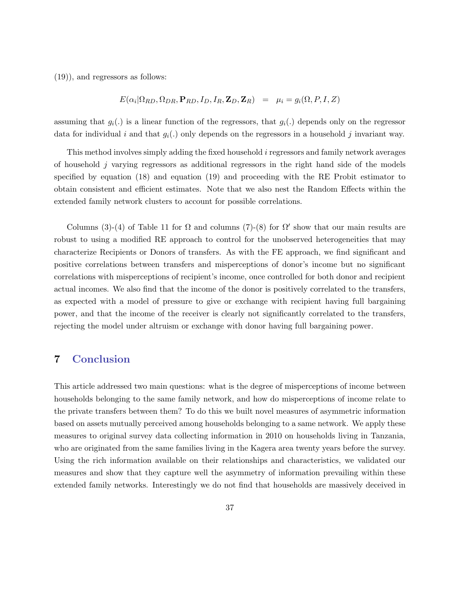(19)), and regressors as follows:

$$
E(\alpha_i | \Omega_{RD}, \Omega_{DR}, \mathbf{P}_{RD}, I_D, I_R, \mathbf{Z}_D, \mathbf{Z}_R) = \mu_i = g_i(\Omega, P, I, Z)
$$

assuming that  $g_i(.)$  is a linear function of the regressors, that  $g_i(.)$  depends only on the regressor data for individual i and that  $g_i(.)$  only depends on the regressors in a household j invariant way.

This method involves simply adding the fixed household i regressors and family network averages of household j varying regressors as additional regressors in the right hand side of the models specified by equation (18) and equation (19) and proceeding with the RE Probit estimator to obtain consistent and efficient estimates. Note that we also nest the Random Effects within the extended family network clusters to account for possible correlations.

Columns (3)-(4) of Table 11 for  $\Omega$  and columns (7)-(8) for  $\Omega'$  show that our main results are robust to using a modified RE approach to control for the unobserved heterogeneities that may characterize Recipients or Donors of transfers. As with the FE approach, we find significant and positive correlations between transfers and misperceptions of donor's income but no significant correlations with misperceptions of recipient's income, once controlled for both donor and recipient actual incomes. We also find that the income of the donor is positively correlated to the transfers, as expected with a model of pressure to give or exchange with recipient having full bargaining power, and that the income of the receiver is clearly not significantly correlated to the transfers, rejecting the model under altruism or exchange with donor having full bargaining power.

## 7 Conclusion

This article addressed two main questions: what is the degree of misperceptions of income between households belonging to the same family network, and how do misperceptions of income relate to the private transfers between them? To do this we built novel measures of asymmetric information based on assets mutually perceived among households belonging to a same network. We apply these measures to original survey data collecting information in 2010 on households living in Tanzania, who are originated from the same families living in the Kagera area twenty years before the survey. Using the rich information available on their relationships and characteristics, we validated our measures and show that they capture well the asymmetry of information prevailing within these extended family networks. Interestingly we do not find that households are massively deceived in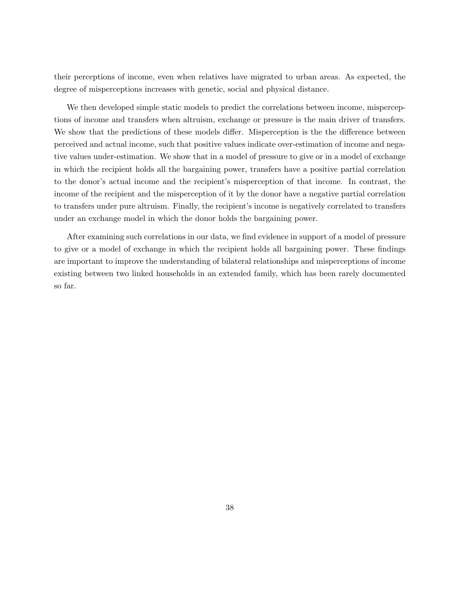their perceptions of income, even when relatives have migrated to urban areas. As expected, the degree of misperceptions increases with genetic, social and physical distance.

We then developed simple static models to predict the correlations between income, misperceptions of income and transfers when altruism, exchange or pressure is the main driver of transfers. We show that the predictions of these models differ. Misperception is the the difference between perceived and actual income, such that positive values indicate over-estimation of income and negative values under-estimation. We show that in a model of pressure to give or in a model of exchange in which the recipient holds all the bargaining power, transfers have a positive partial correlation to the donor's actual income and the recipient's misperception of that income. In contrast, the income of the recipient and the misperception of it by the donor have a negative partial correlation to transfers under pure altruism. Finally, the recipient's income is negatively correlated to transfers under an exchange model in which the donor holds the bargaining power.

After examining such correlations in our data, we find evidence in support of a model of pressure to give or a model of exchange in which the recipient holds all bargaining power. These findings are important to improve the understanding of bilateral relationships and misperceptions of income existing between two linked households in an extended family, which has been rarely documented so far.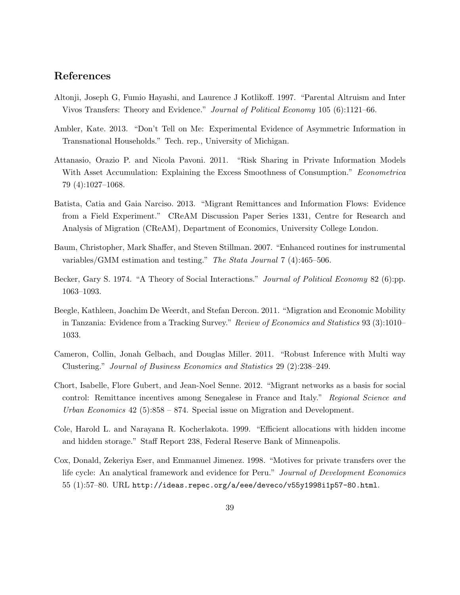### References

- Altonji, Joseph G, Fumio Hayashi, and Laurence J Kotlikoff. 1997. "Parental Altruism and Inter Vivos Transfers: Theory and Evidence." Journal of Political Economy 105 (6):1121–66.
- Ambler, Kate. 2013. "Don't Tell on Me: Experimental Evidence of Asymmetric Information in Transnational Households." Tech. rep., University of Michigan.
- Attanasio, Orazio P. and Nicola Pavoni. 2011. "Risk Sharing in Private Information Models With Asset Accumulation: Explaining the Excess Smoothness of Consumption." Econometrica 79 (4):1027–1068.
- Batista, Catia and Gaia Narciso. 2013. "Migrant Remittances and Information Flows: Evidence from a Field Experiment." CReAM Discussion Paper Series 1331, Centre for Research and Analysis of Migration (CReAM), Department of Economics, University College London.
- Baum, Christopher, Mark Shaffer, and Steven Stillman. 2007. "Enhanced routines for instrumental variables/GMM estimation and testing." The Stata Journal 7 (4):465–506.
- Becker, Gary S. 1974. "A Theory of Social Interactions." *Journal of Political Economy* 82 (6):pp. 1063–1093.
- Beegle, Kathleen, Joachim De Weerdt, and Stefan Dercon. 2011. "Migration and Economic Mobility in Tanzania: Evidence from a Tracking Survey." Review of Economics and Statistics 93 (3):1010– 1033.
- Cameron, Collin, Jonah Gelbach, and Douglas Miller. 2011. "Robust Inference with Multi way Clustering." Journal of Business Economics and Statistics 29 (2):238–249.
- Chort, Isabelle, Flore Gubert, and Jean-Noel Senne. 2012. "Migrant networks as a basis for social control: Remittance incentives among Senegalese in France and Italy." Regional Science and Urban Economics  $42$  (5):858 – 874. Special issue on Migration and Development.
- Cole, Harold L. and Narayana R. Kocherlakota. 1999. "Efficient allocations with hidden income and hidden storage." Staff Report 238, Federal Reserve Bank of Minneapolis.
- Cox, Donald, Zekeriya Eser, and Emmanuel Jimenez. 1998. "Motives for private transfers over the life cycle: An analytical framework and evidence for Peru." Journal of Development Economics  $55$  (1):57-80. URL http://ideas.repec.org/a/eee/deveco/v55y1998i1p57-80.html.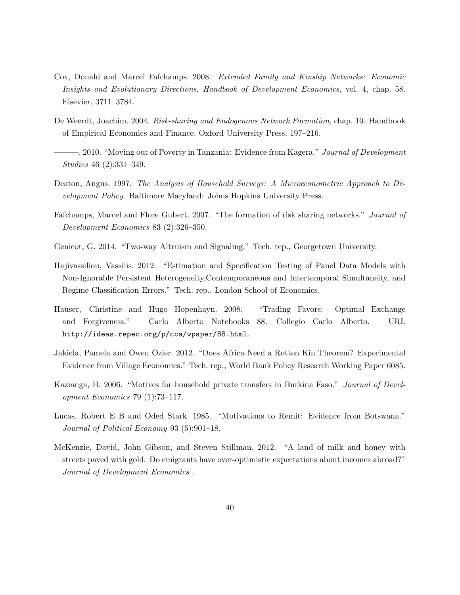- Cox, Donald and Marcel Fafchamps. 2008. Extended Family and Kinship Networks: Economic Insights and Evolutionary Directions, Handbook of Development Economics, vol. 4, chap. 58. Elsevier, 3711–3784.
- De Weerdt, Joachim. 2004. Risk-sharing and Endogenous Network Formation, chap. 10. Handbook of Empirical Economics and Finance. Oxford University Press, 197–216.
- -. 2010. "Moving out of Poverty in Tanzania: Evidence from Kagera." Journal of Development Studies 46 (2):331–349.
- Deaton, Angus. 1997. The Analysis of Household Surveys: A Microeconometric Approach to Development Policy. Baltimore Maryland: Johns Hopkins University Press.
- Fafchamps, Marcel and Flore Gubert. 2007. "The formation of risk sharing networks." Journal of Development Economics 83 (2):326–350.
- Genicot, G. 2014. "Two-way Altruism and Signaling." Tech. rep., Georgetown University.
- Hajivassiliou, Vassilis. 2012. "Estimation and Specification Testing of Panel Data Models with Non-Ignorable Persistent Heterogeneity,Contemporaneous and Intertemporal Simultaneity, and Regime Classification Errors." Tech. rep., London School of Economics.
- Hauser, Christine and Hugo Hopenhayn. 2008. "Trading Favors: Optimal Exchange and Forgiveness." Carlo Alberto Notebooks 88, Collegio Carlo Alberto. URL http://ideas.repec.org/p/cca/wpaper/88.html.
- Jakiela, Pamela and Owen Ozier. 2012. "Does Africa Need a Rotten Kin Theorem? Experimental Evidence from Village Economies." Tech. rep., World Bank Policy Research Working Paper 6085.
- Kazianga, H. 2006. "Motives for household private transfers in Burkina Faso." Journal of Development Economics 79 (1):73–117.
- Lucas, Robert E B and Oded Stark. 1985. "Motivations to Remit: Evidence from Botswana." Journal of Political Economy 93 (5):901–18.
- McKenzie, David, John Gibson, and Steven Stillman. 2012. "A land of milk and honey with streets paved with gold: Do emigrants have over-optimistic expectations about incomes abroad?" Journal of Development Economics .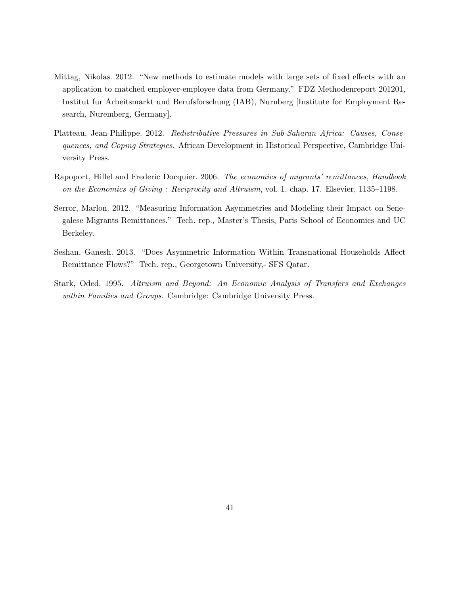- Mittag, Nikolas. 2012. "New methods to estimate models with large sets of fixed effects with an application to matched employer-employee data from Germany." FDZ Methodenreport 201201, Institut fur Arbeitsmarkt und Berufsforschung (IAB), Nurnberg [Institute for Employment Research, Nuremberg, Germany].
- Platteau, Jean-Philippe. 2012. Redistributive Pressures in Sub-Saharan Africa: Causes, Consequences, and Coping Strategies. African Development in Historical Perspective, Cambridge University Press.
- Rapoport, Hillel and Frederic Docquier. 2006. The economics of migrants' remittances, Handbook on the Economics of Giving : Reciprocity and Altruism, vol. 1, chap. 17. Elsevier, 1135–1198.
- Serror, Marlon. 2012. "Measuring Information Asymmetries and Modeling their Impact on Senegalese Migrants Remittances." Tech. rep., Master's Thesis, Paris School of Economics and UC Berkeley.
- Seshan, Ganesh. 2013. "Does Asymmetric Information Within Transnational Households Affect Remittance Flows?" Tech. rep., Georgetown University,- SFS Qatar.
- Stark, Oded. 1995. Altruism and Beyond: An Economic Analysis of Transfers and Exchanges within Families and Groups. Cambridge: Cambridge University Press.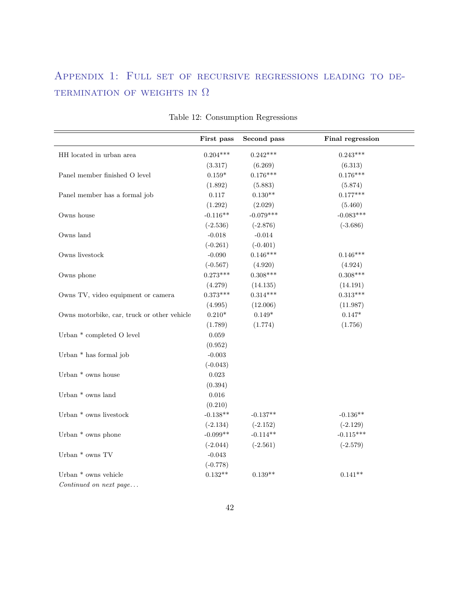## Appendix 1: Full set of recursive regressions leading to de-TERMINATION OF WEIGHTS IN  $\Omega$

|                                             | First pass  | Second pass | Final regression |
|---------------------------------------------|-------------|-------------|------------------|
| HH located in urban area                    | $0.204***$  | $0.242***$  | $0.243***$       |
|                                             | (3.317)     | (6.269)     | (6.313)          |
| Panel member finished O level               | $0.159*$    | $0.176***$  | $0.176***$       |
|                                             | (1.892)     | (5.883)     | (5.874)          |
| Panel member has a formal job               | 0.117       | $0.130**$   | $0.177***$       |
|                                             | (1.292)     | (2.029)     | (5.460)          |
| Owns house                                  | $-0.116**$  | $-0.079***$ | $-0.083***$      |
|                                             | $(-2.536)$  | $(-2.876)$  | $(-3.686)$       |
| Owns land                                   | $-0.018$    | $-0.014$    |                  |
|                                             | $(-0.261)$  | $(-0.401)$  |                  |
| Owns livestock                              | $-0.090$    | $0.146***$  | $0.146***$       |
|                                             | $(-0.567)$  | (4.920)     | (4.924)          |
| Owns phone                                  | $0.273***$  | $0.308***$  | $0.308***$       |
|                                             | (4.279)     | (14.135)    | (14.191)         |
| Owns TV, video equipment or camera          | $0.373***$  | $0.314***$  | $0.313***$       |
|                                             | (4.995)     | (12.006)    | (11.987)         |
| Owns motorbike, car, truck or other vehicle | $0.210*$    | $0.149*$    | $0.147*$         |
|                                             | (1.789)     | (1.774)     | (1.756)          |
| Urban * completed O level                   | $\,0.059\,$ |             |                  |
|                                             | (0.952)     |             |                  |
| Urban * has formal job                      | $-0.003$    |             |                  |
|                                             | $(-0.043)$  |             |                  |
| Urban * owns house                          | 0.023       |             |                  |
|                                             | (0.394)     |             |                  |
| Urban $*$ owns land                         | 0.016       |             |                  |
|                                             | (0.210)     |             |                  |
| Urban $^{\ast}$ owns livestock              | $-0.138**$  | $-0.137**$  | $-0.136**$       |
|                                             | $(-2.134)$  | $(-2.152)$  | $(-2.129)$       |
| Urban $*$ owns phone                        | $-0.099**$  | $-0.114**$  | $-0.115***$      |
|                                             | $(-2.044)$  | $(-2.561)$  | $(-2.579)$       |
| Urban $^*$ owns $\operatorname{TV}$         | $-0.043$    |             |                  |
|                                             | $(-0.778)$  |             |                  |
| Urban $^*$ owns vehicle                     | $0.132**$   | $0.139**$   | $0.141**$        |
| $Continued$ on next page                    |             |             |                  |

Table 12: Consumption Regressions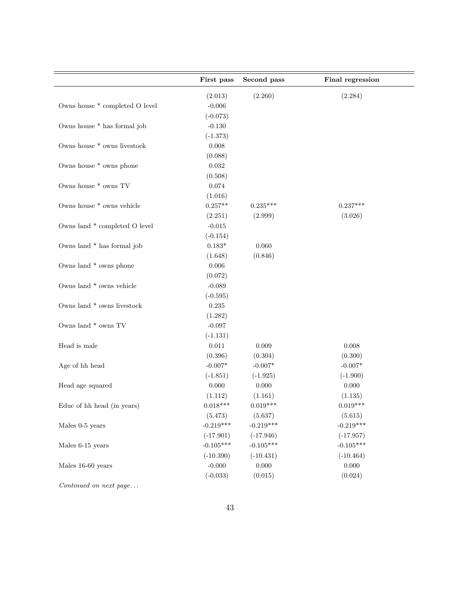|                                                 | First pass     | Second pass | Final regression |
|-------------------------------------------------|----------------|-------------|------------------|
|                                                 | (2.013)        | (2.260)     | (2.284)          |
| Owns house $\hspace{0.1mm}^*$ completed O level | $-0.006$       |             |                  |
|                                                 | $(-0.073)$     |             |                  |
| Owns house * has formal job                     | $-0.130$       |             |                  |
|                                                 | $(-1.373)$     |             |                  |
| Owns house * owns livestock                     | 0.008          |             |                  |
|                                                 | (0.088)        |             |                  |
| Owns house * owns phone                         | $\,0.032\,$    |             |                  |
|                                                 | (0.508)        |             |                  |
| Owns house $*$ owns TV                          | 0.074          |             |                  |
|                                                 | (1.016)        |             |                  |
| Owns house * owns vehicle                       | $0.257**$      | $0.235***$  | $0.237***$       |
|                                                 | (2.251)        | (2.999)     | (3.026)          |
| Owns land * completed O level                   | $-0.015$       |             |                  |
|                                                 | $(-0.154)$     |             |                  |
| Owns land * has formal job                      | $0.183^{\ast}$ | 0.060       |                  |
|                                                 | (1.648)        | (0.846)     |                  |
| Owns land * owns phone                          | 0.006          |             |                  |
|                                                 | (0.072)        |             |                  |
| Owns land * owns vehicle                        | $-0.089$       |             |                  |
|                                                 | $(-0.595)$     |             |                  |
| Owns land $*$ owns livestock                    | $0.235\,$      |             |                  |
|                                                 | (1.282)        |             |                  |
| Owns land $*$ owns TV                           | $-0.097$       |             |                  |
|                                                 | $(-1.131)$     |             |                  |
| Head is male                                    | 0.011          | 0.009       | 0.008            |
|                                                 | (0.396)        | (0.304)     | (0.300)          |
| Age of hh head                                  | $-0.007*$      | $-0.007*$   | $-0.007*$        |
|                                                 | $(-1.851)$     | $(-1.925)$  | $(-1.900)$       |
| Head age squared                                | 0.000          | 0.000       | 0.000            |
|                                                 | (1.112)        | (1.161)     | (1.135)          |
| Educ of hh head (in years)                      | $0.018***$     | $0.019***$  | $0.019***$       |
|                                                 | (5.473)        | (5.637)     | (5.615)          |
| Males 0-5 years                                 | $-0.219***$    | $-0.219***$ | $-0.219***$      |
|                                                 | $(-17.901)$    | $(-17.946)$ | $(-17.957)$      |
| Males 6-15 years                                | $-0.105***$    | $-0.105***$ | $-0.105***$      |
|                                                 | $(-10.390)$    | $(-10.431)$ | $(-10.464)$      |
| Males 16-60 years                               | $-0.000$       | $0.000\,$   | 0.000            |
|                                                 | $(-0.033)$     | (0.015)     | (0.024)          |
| Continued on next page                          |                |             |                  |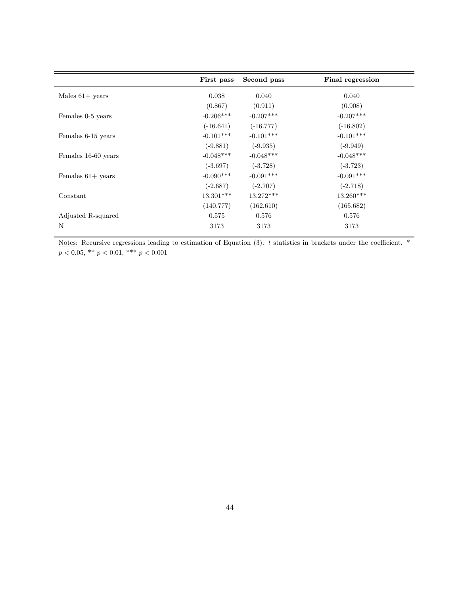|                     | First pass  | Second pass | <b>Final regression</b> |
|---------------------|-------------|-------------|-------------------------|
| Males $61+$ years   | 0.038       | 0.040       | 0.040                   |
|                     | (0.867)     | (0.911)     | (0.908)                 |
| Females 0-5 years   | $-0.206***$ | $-0.207***$ | $-0.207***$             |
|                     | $(-16.641)$ | $(-16.777)$ | $(-16.802)$             |
| Females 6-15 years  | $-0.101***$ | $-0.101***$ | $-0.101***$             |
|                     | $(-9.881)$  | $(-9.935)$  | $(-9.949)$              |
| Females 16-60 years | $-0.048***$ | $-0.048***$ | $-0.048***$             |
|                     | $(-3.697)$  | $(-3.728)$  | $(-3.723)$              |
| Females $61+$ years | $-0.090***$ | $-0.091***$ | $-0.091***$             |
|                     | $(-2.687)$  | $(-2.707)$  | $(-2.718)$              |
| Constant            | $13.301***$ | $13.272***$ | $13.260***$             |
|                     | (140.777)   | (162.610)   | (165.682)               |
| Adjusted R-squared  | 0.575       | 0.576       | 0.576                   |
| N                   | 3173        | 3173        | 3173                    |

Notes: Recursive regressions leading to estimation of Equation (3). t statistics in brackets under the coefficient. \*  $p < 0.05$ , \*\*  $p < 0.01$ , \*\*\*  $p < 0.001$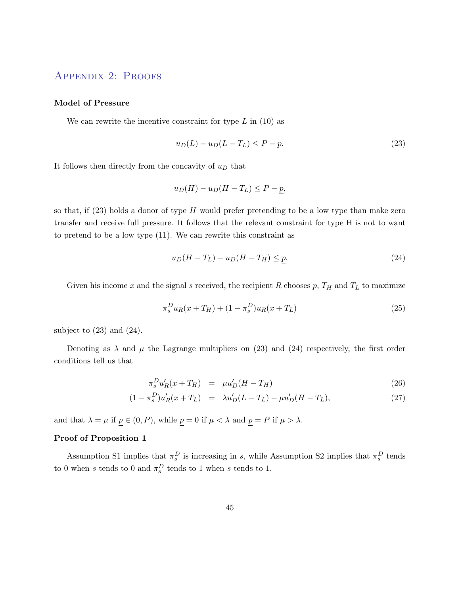## Appendix 2: Proofs

#### Model of Pressure

We can rewrite the incentive constraint for type  $L$  in (10) as

$$
u_D(L) - u_D(L - T_L) \le P - p. \tag{23}
$$

It follows then directly from the concavity of  $u_D$  that

$$
u_D(H) - u_D(H - T_L) \le P - p,
$$

so that, if  $(23)$  holds a donor of type H would prefer pretending to be a low type than make zero transfer and receive full pressure. It follows that the relevant constraint for type H is not to want to pretend to be a low type (11). We can rewrite this constraint as

$$
u_D(H - T_L) - u_D(H - T_H) \le p. \tag{24}
$$

Given his income x and the signal s received, the recipient R chooses  $p$ ,  $T_H$  and  $T_L$  to maximize

$$
\pi_s^D u_R(x + T_H) + (1 - \pi_s^D) u_R(x + T_L)
$$
\n(25)

subject to  $(23)$  and  $(24)$ .

Denoting as  $\lambda$  and  $\mu$  the Lagrange multipliers on (23) and (24) respectively, the first order conditions tell us that

$$
\pi_s^D u'_R(x + T_H) = \mu u'_D(H - T_H) \tag{26}
$$

$$
(1 - \pi_s^D)u'_R(x + T_L) = \lambda u'_D(L - T_L) - \mu u'_D(H - T_L), \qquad (27)
$$

and that  $\lambda = \mu$  if  $p \in (0, P)$ , while  $p = 0$  if  $\mu < \lambda$  and  $p = P$  if  $\mu > \lambda$ .

#### Proof of Proposition 1

Assumption S1 implies that  $\pi_s^D$  is increasing in s, while Assumption S2 implies that  $\pi_s^D$  tends to 0 when s tends to 0 and  $\pi_s^D$  tends to 1 when s tends to 1.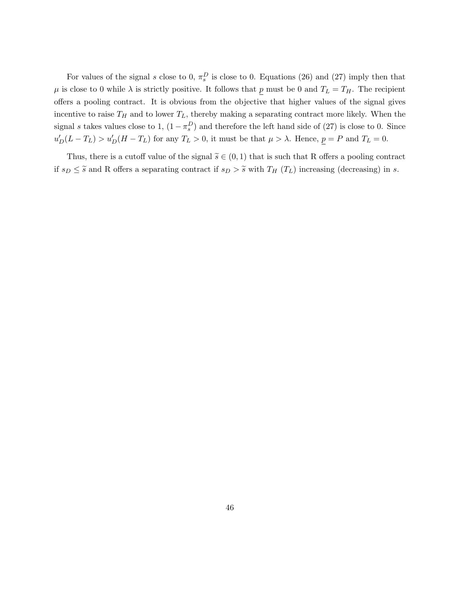For values of the signal s close to 0,  $\pi_s^D$  is close to 0. Equations (26) and (27) imply then that  $\mu$  is close to 0 while  $\lambda$  is strictly positive. It follows that p must be 0 and  $T_L = T_H$ . The recipient offers a pooling contract. It is obvious from the objective that higher values of the signal gives incentive to raise  $T_H$  and to lower  $T_L$ , thereby making a separating contract more likely. When the signal s takes values close to 1,  $(1 - \pi_s^D)$  and therefore the left hand side of (27) is close to 0. Since  $u'_{D}(L-T_{L}) > u'_{D}(H-T_{L})$  for any  $T_{L} > 0$ , it must be that  $\mu > \lambda$ . Hence,  $\underline{p} = P$  and  $T_{L} = 0$ .

Thus, there is a cutoff value of the signal  $\tilde{s} \in (0,1)$  that is such that R offers a pooling contract if  $s_D \leq \tilde{s}$  and R offers a separating contract if  $s_D > \tilde{s}$  with  $T_H$  ( $T_L$ ) increasing (decreasing) in s.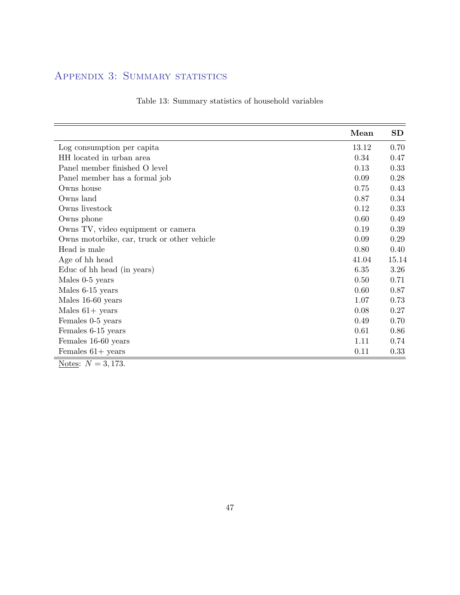## APPENDIX 3: SUMMARY STATISTICS

|                                             | Mean  | SD    |
|---------------------------------------------|-------|-------|
| Log consumption per capita                  | 13.12 | 0.70  |
| HH located in urban area                    | 0.34  | 0.47  |
| Panel member finished O level               | 0.13  | 0.33  |
| Panel member has a formal job               | 0.09  | 0.28  |
| Owns house                                  | 0.75  | 0.43  |
| Owns land                                   | 0.87  | 0.34  |
| Owns livestock                              | 0.12  | 0.33  |
| Owns phone                                  | 0.60  | 0.49  |
| Owns TV, video equipment or camera          | 0.19  | 0.39  |
| Owns motorbike, car, truck or other vehicle | 0.09  | 0.29  |
| Head is male                                | 0.80  | 0.40  |
| Age of hh head                              | 41.04 | 15.14 |
| Educ of hh head (in years)                  | 6.35  | 3.26  |
| Males 0-5 years                             | 0.50  | 0.71  |
| Males 6-15 years                            | 0.60  | 0.87  |
| Males 16-60 years                           | 1.07  | 0.73  |
| Males $61+$ years                           | 0.08  | 0.27  |
| Females 0-5 years                           | 0.49  | 0.70  |
| Females 6-15 years                          | 0.61  | 0.86  |
| Females 16-60 years                         | 1.11  | 0.74  |
| Females $61+$ years                         | 0.11  | 0.33  |
| Notes: $N = 3,173$ .                        |       |       |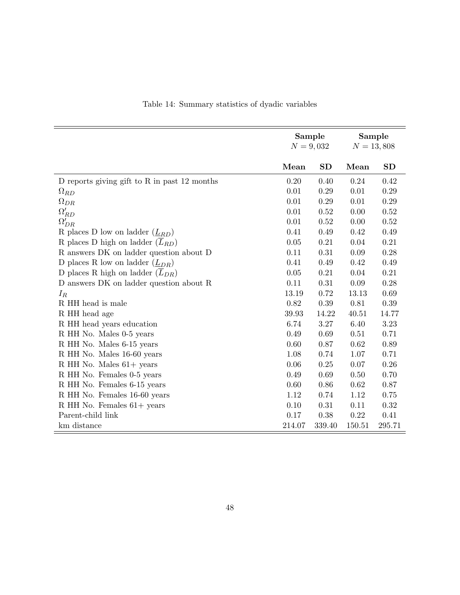|                                                 | Sample<br>$N = 9,032$ |           | Sample<br>$N = 13,808$ |        |
|-------------------------------------------------|-----------------------|-----------|------------------------|--------|
|                                                 | Mean                  | <b>SD</b> | Mean                   | SD     |
| D reports giving gift to R in past $12$ months  | 0.20                  | 0.40      | 0.24                   | 0.42   |
| $\Omega_{RD}$                                   | 0.01                  | 0.29      | 0.01                   | 0.29   |
| $\Omega_{DR}$                                   | 0.01                  | 0.29      | 0.01                   | 0.29   |
| $\Omega_{RD}'$                                  | 0.01                  | 0.52      | 0.00                   | 0.52   |
| $\Omega'_{DR}$                                  | 0.01                  | 0.52      | 0.00                   | 0.52   |
| R places D low on ladder $(\underline{L}_{RD})$ | 0.41                  | 0.49      | 0.42                   | 0.49   |
| R places D high on ladder $(\overline{L}_{RD})$ | 0.05                  | 0.21      | 0.04                   | 0.21   |
| R answers DK on ladder question about D         | 0.11                  | 0.31      | 0.09                   | 0.28   |
| D places R low on ladder $(\underline{L}_{DR})$ | 0.41                  | 0.49      | 0.42                   | 0.49   |
| D places R high on ladder $(L_{DR})$            | 0.05                  | 0.21      | 0.04                   | 0.21   |
| D answers DK on ladder question about R         | 0.11                  | 0.31      | 0.09                   | 0.28   |
| $I_R$                                           | 13.19                 | 0.72      | 13.13                  | 0.69   |
| R HH head is male                               | 0.82                  | 0.39      | 0.81                   | 0.39   |
| R HH head age                                   | 39.93                 | 14.22     | 40.51                  | 14.77  |
| R HH head years education                       | 6.74                  | 3.27      | 6.40                   | 3.23   |
| R HH No. Males 0-5 years                        | 0.49                  | 0.69      | 0.51                   | 0.71   |
| R HH No. Males 6-15 years                       | 0.60                  | 0.87      | 0.62                   | 0.89   |
| R HH No. Males 16-60 years                      | 1.08                  | 0.74      | 1.07                   | 0.71   |
| R HH No. Males 61+ years                        | 0.06                  | 0.25      | 0.07                   | 0.26   |
| R HH No. Females 0-5 years                      | 0.49                  | 0.69      | 0.50                   | 0.70   |
| R HH No. Females 6-15 years                     | 0.60                  | 0.86      | 0.62                   | 0.87   |
| R HH No. Females 16-60 years                    | 1.12                  | 0.74      | 1.12                   | 0.75   |
| R HH No. Females $61+$ years                    | 0.10                  | 0.31      | 0.11                   | 0.32   |
| Parent-child link                               | 0.17                  | 0.38      | 0.22                   | 0.41   |
| km distance                                     | 214.07                | 339.40    | 150.51                 | 295.71 |

## Table 14: Summary statistics of dyadic variables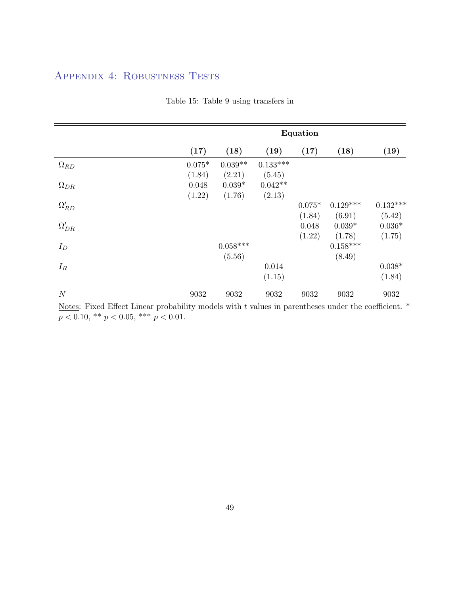## Appendix 4: Robustness Tests

|                | Equation |            |            |          |            |            |  |
|----------------|----------|------------|------------|----------|------------|------------|--|
|                | (17)     | (18)       | (19)       | (17)     | (18)       | (19)       |  |
| $\Omega_{RD}$  | $0.075*$ | $0.039**$  | $0.133***$ |          |            |            |  |
|                | (1.84)   | (2.21)     | (5.45)     |          |            |            |  |
| $\Omega_{DR}$  | 0.048    | $0.039*$   | $0.042**$  |          |            |            |  |
|                | (1.22)   | (1.76)     | (2.13)     |          |            |            |  |
| $\Omega_{RD}'$ |          |            |            | $0.075*$ | $0.129***$ | $0.132***$ |  |
|                |          |            |            | (1.84)   | (6.91)     | (5.42)     |  |
| $\Omega'_{DR}$ |          |            |            | 0.048    | $0.039*$   | $0.036*$   |  |
|                |          |            |            | (1.22)   | (1.78)     | (1.75)     |  |
| $I_D$          |          | $0.058***$ |            |          | $0.158***$ |            |  |
|                |          | (5.56)     |            |          | (8.49)     |            |  |
| $I_R$          |          |            | 0.014      |          |            | $0.038*$   |  |
|                |          |            | (1.15)     |          |            | (1.84)     |  |
| $\cal N$       | 9032     | 9032       | 9032       | 9032     | 9032       | 9032       |  |

## Table 15: Table 9 using transfers in

Notes: Fixed Effect Linear probability models with  $t$  values in parentheses under the coefficient.  $*$  $p < 0.10,$   $^{**}$   $p < 0.05,$   $^{***}$   $p < 0.01.$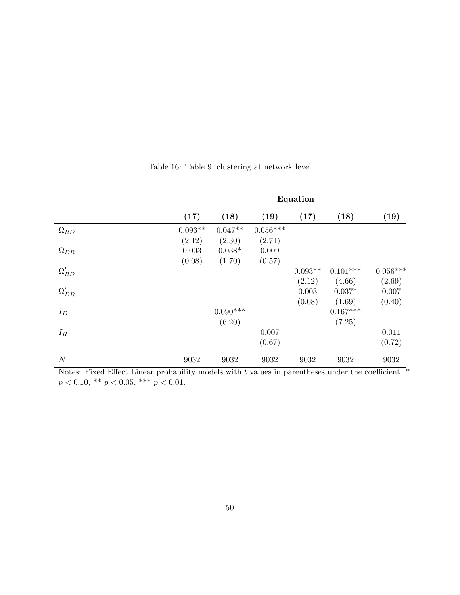|                        | Equation  |            |            |           |            |                 |
|------------------------|-----------|------------|------------|-----------|------------|-----------------|
|                        | (17)      | (18)       | (19)       | (17)      | (18)       | (19)            |
| $\Omega_{RD}$          | $0.093**$ | $0.047**$  | $0.056***$ |           |            |                 |
|                        | (2.12)    | (2.30)     | (2.71)     |           |            |                 |
| $\Omega_{DR}$          | 0.003     | $0.038*$   | 0.009      |           |            |                 |
|                        | (0.08)    | (1.70)     | (0.57)     |           |            |                 |
| $\Omega_{RD}^{\prime}$ |           |            |            | $0.093**$ | $0.101***$ | $0.056^{***}\,$ |
|                        |           |            |            | (2.12)    | (4.66)     | (2.69)          |
| $\Omega'_{DR}$         |           |            |            | 0.003     | $0.037*$   | 0.007           |
|                        |           |            |            | (0.08)    | (1.69)     | (0.40)          |
| $I_D$                  |           | $0.090***$ |            |           | $0.167***$ |                 |
|                        |           | (6.20)     |            |           | (7.25)     |                 |
| $I_R$                  |           |            | 0.007      |           |            | 0.011           |
|                        |           |            | (0.67)     |           |            | (0.72)          |
| $\boldsymbol{N}$       | 9032      | 9032       | 9032       | 9032      | 9032       | 9032            |

Table 16: Table 9, clustering at network level

Notes: Fixed Effect Linear probability models with  $t$  values in parentheses under the coefficient.  $*$  $p < 0.10,$  \*\*  $p < 0.05,$  \*\*\*  $p < 0.01$ .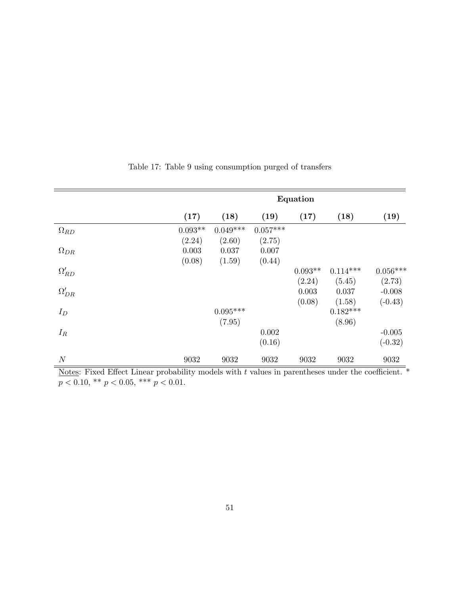|                        | Equation  |            |            |           |            |                 |
|------------------------|-----------|------------|------------|-----------|------------|-----------------|
|                        | (17)      | (18)       | (19)       | (17)      | (18)       | (19)            |
| $\Omega_{RD}$          | $0.093**$ | $0.049***$ | $0.057***$ |           |            |                 |
|                        | (2.24)    | (2.60)     | (2.75)     |           |            |                 |
| $\Omega_{DR}$          | 0.003     | 0.037      | 0.007      |           |            |                 |
|                        | (0.08)    | (1.59)     | (0.44)     |           |            |                 |
| $\Omega_{RD}^{\prime}$ |           |            |            | $0.093**$ | $0.114***$ | $0.056^{***}\,$ |
|                        |           |            |            | (2.24)    | (5.45)     | (2.73)          |
| $\Omega'_{DR}$         |           |            |            | 0.003     | 0.037      | $-0.008$        |
|                        |           |            |            | (0.08)    | (1.58)     | $(-0.43)$       |
| $I_D$                  |           | $0.095***$ |            |           | $0.182***$ |                 |
|                        |           | (7.95)     |            |           | (8.96)     |                 |
| $I_R$                  |           |            | 0.002      |           |            | $-0.005$        |
|                        |           |            | (0.16)     |           |            | $(-0.32)$       |
| $\cal N$               | 9032      | 9032       | 9032       | 9032      | 9032       | 9032            |

Table 17: Table 9 using consumption purged of transfers

Notes: Fixed Effect Linear probability models with  $t$  values in parentheses under the coefficient.  $*$  $p < 0.10,$  \*\*  $p < 0.05,$  \*\*\*  $p < 0.01$ .